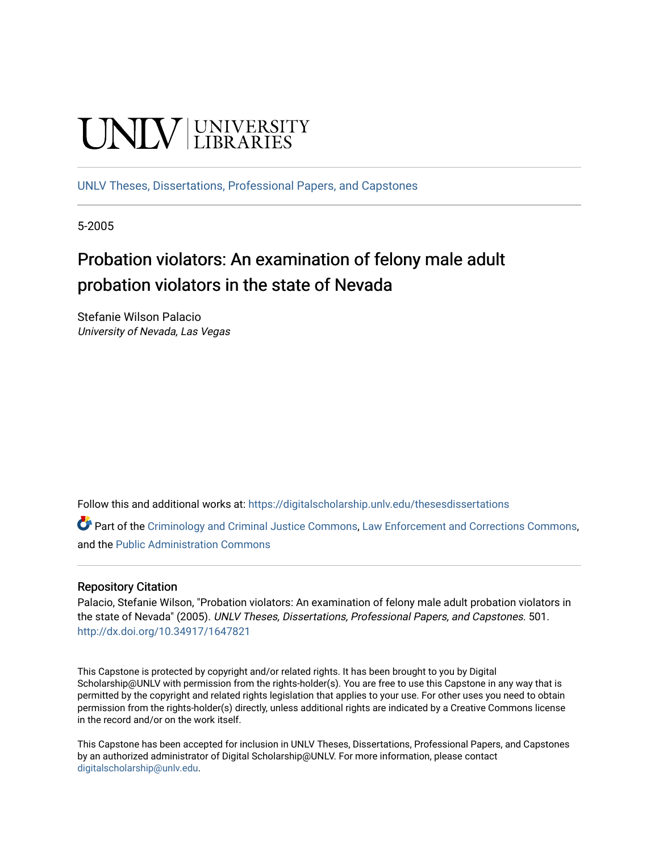# **UNIVERSITY**

[UNLV Theses, Dissertations, Professional Papers, and Capstones](https://digitalscholarship.unlv.edu/thesesdissertations)

5-2005

## Probation violators: An examination of felony male adult probation violators in the state of Nevada

Stefanie Wilson Palacio University of Nevada, Las Vegas

Follow this and additional works at: [https://digitalscholarship.unlv.edu/thesesdissertations](https://digitalscholarship.unlv.edu/thesesdissertations?utm_source=digitalscholarship.unlv.edu%2Fthesesdissertations%2F501&utm_medium=PDF&utm_campaign=PDFCoverPages)

Part of the [Criminology and Criminal Justice Commons](http://network.bepress.com/hgg/discipline/367?utm_source=digitalscholarship.unlv.edu%2Fthesesdissertations%2F501&utm_medium=PDF&utm_campaign=PDFCoverPages), [Law Enforcement and Corrections Commons](http://network.bepress.com/hgg/discipline/854?utm_source=digitalscholarship.unlv.edu%2Fthesesdissertations%2F501&utm_medium=PDF&utm_campaign=PDFCoverPages), and the [Public Administration Commons](http://network.bepress.com/hgg/discipline/398?utm_source=digitalscholarship.unlv.edu%2Fthesesdissertations%2F501&utm_medium=PDF&utm_campaign=PDFCoverPages)

#### Repository Citation

Palacio, Stefanie Wilson, "Probation violators: An examination of felony male adult probation violators in the state of Nevada" (2005). UNLV Theses, Dissertations, Professional Papers, and Capstones. 501. <http://dx.doi.org/10.34917/1647821>

This Capstone is protected by copyright and/or related rights. It has been brought to you by Digital Scholarship@UNLV with permission from the rights-holder(s). You are free to use this Capstone in any way that is permitted by the copyright and related rights legislation that applies to your use. For other uses you need to obtain permission from the rights-holder(s) directly, unless additional rights are indicated by a Creative Commons license in the record and/or on the work itself.

This Capstone has been accepted for inclusion in UNLV Theses, Dissertations, Professional Papers, and Capstones by an authorized administrator of Digital Scholarship@UNLV. For more information, please contact [digitalscholarship@unlv.edu](mailto:digitalscholarship@unlv.edu).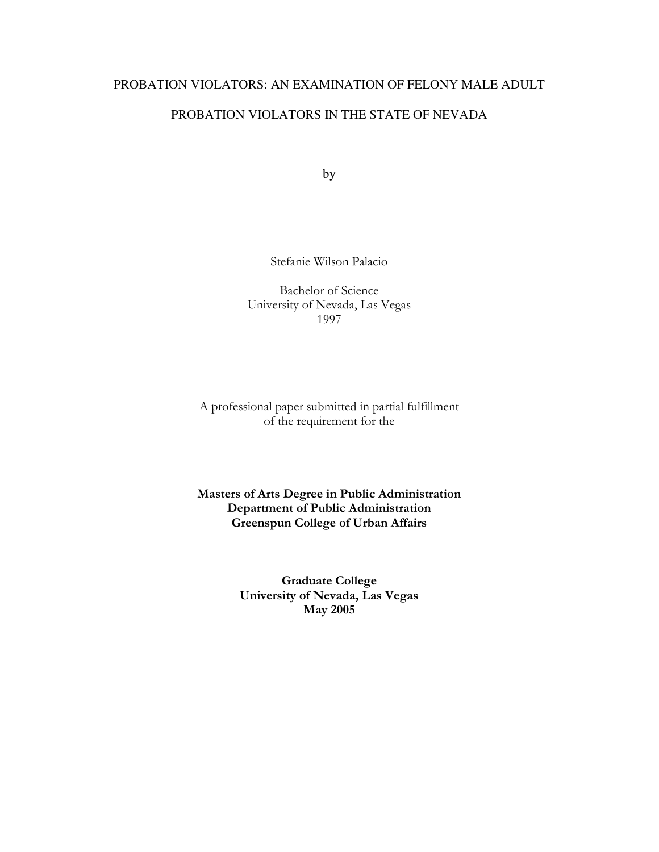#### PROBATION VIOLATORS: AN EXAMINATION OF FELONY MALE ADULT

#### PROBATION VIOLATORS IN THE STATE OF NEVADA

by

Stefanie Wilson Palacio

Bachelor of Science University of Nevada, Las Vegas 1997

A professional paper submitted in partial fulfillment of the requirement for the

Masters of Arts Degree in Public Administration Department of Public Administration Greenspun College of Urban Affairs

> Graduate College University of Nevada, Las Vegas May 2005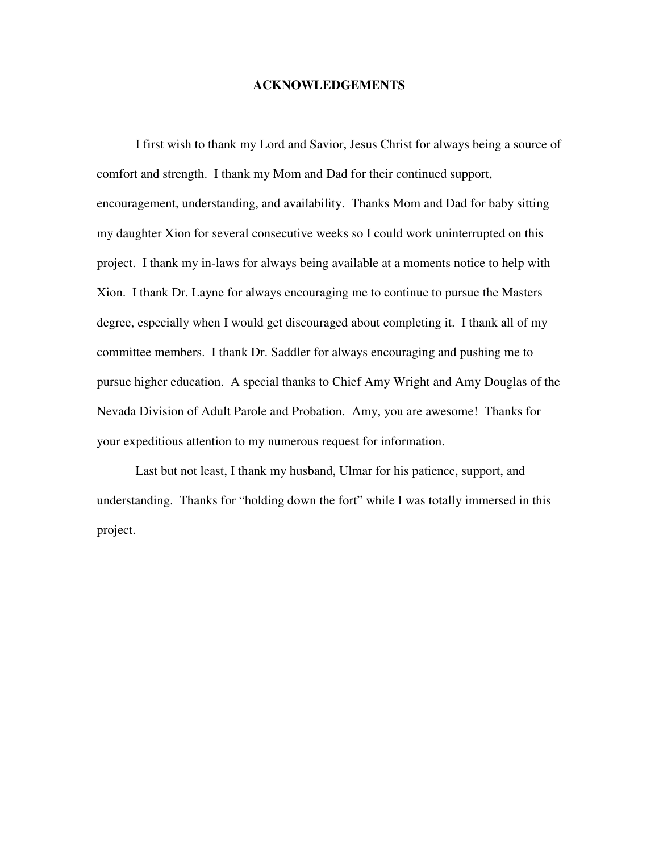#### **ACKNOWLEDGEMENTS**

I first wish to thank my Lord and Savior, Jesus Christ for always being a source of comfort and strength. I thank my Mom and Dad for their continued support, encouragement, understanding, and availability. Thanks Mom and Dad for baby sitting my daughter Xion for several consecutive weeks so I could work uninterrupted on this project. I thank my in-laws for always being available at a moments notice to help with Xion. I thank Dr. Layne for always encouraging me to continue to pursue the Masters degree, especially when I would get discouraged about completing it. I thank all of my committee members. I thank Dr. Saddler for always encouraging and pushing me to pursue higher education. A special thanks to Chief Amy Wright and Amy Douglas of the Nevada Division of Adult Parole and Probation. Amy, you are awesome! Thanks for your expeditious attention to my numerous request for information.

Last but not least, I thank my husband, Ulmar for his patience, support, and understanding. Thanks for "holding down the fort" while I was totally immersed in this project.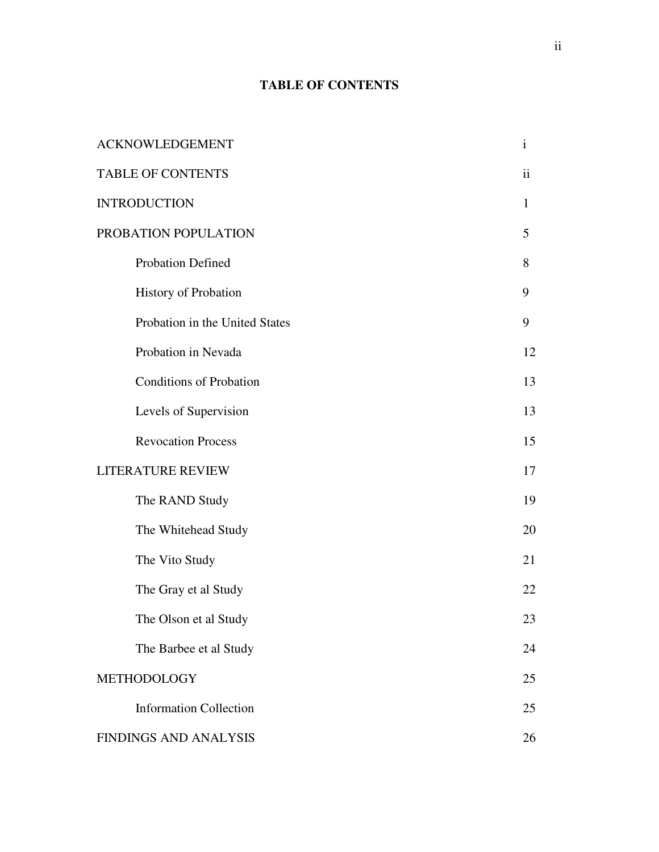## **TABLE OF CONTENTS**

| <b>ACKNOWLEDGEMENT</b>         | $\mathbf{i}$            |
|--------------------------------|-------------------------|
| <b>TABLE OF CONTENTS</b>       | $\overline{\mathbf{u}}$ |
| <b>INTRODUCTION</b>            | 1                       |
| PROBATION POPULATION           | 5                       |
| Probation Defined              | 8                       |
| <b>History of Probation</b>    | 9                       |
| Probation in the United States | 9                       |
| Probation in Nevada            | 12                      |
| <b>Conditions of Probation</b> | 13                      |
| Levels of Supervision          | 13                      |
| <b>Revocation Process</b>      | 15                      |
| LITERATURE REVIEW              | 17                      |
| The RAND Study                 | 19                      |
| The Whitehead Study            | 20                      |
| The Vito Study                 | 21                      |
| The Gray et al Study           | 22                      |
| The Olson et al Study          | 23                      |
| The Barbee et al Study         | 24                      |
| METHODOLOGY                    | 25                      |
| <b>Information Collection</b>  | 25                      |
| <b>FINDINGS AND ANALYSIS</b>   | 26                      |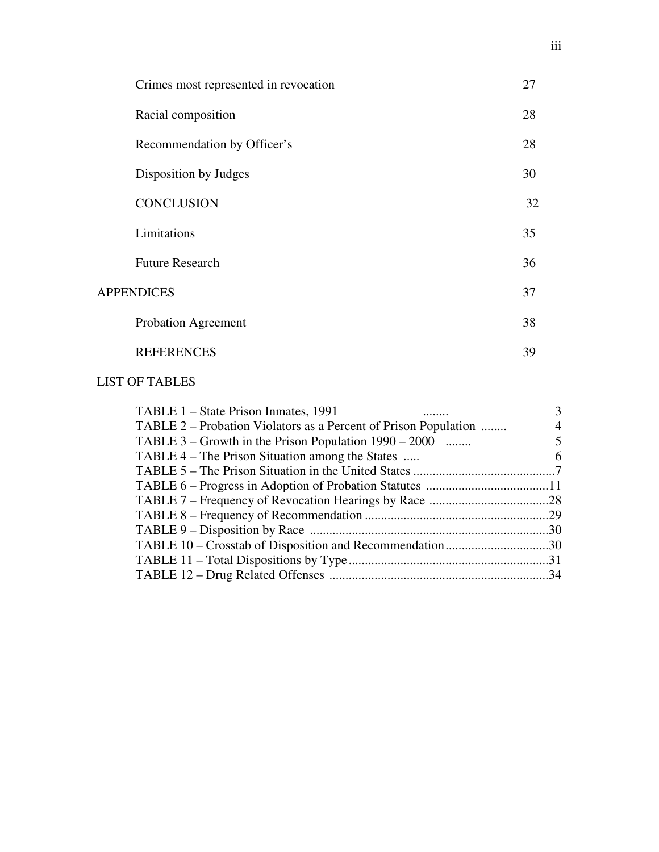| Crimes most represented in revocation | 27 |
|---------------------------------------|----|
| Racial composition                    | 28 |
| Recommendation by Officer's           | 28 |
| Disposition by Judges                 | 30 |
| <b>CONCLUSION</b>                     | 32 |
| Limitations                           | 35 |
| <b>Future Research</b>                | 36 |
| <b>APPENDICES</b>                     | 37 |
| Probation Agreement                   | 38 |
| <b>REFERENCES</b>                     | 39 |

## LIST OF TABLES

| TABLE 1 – State Prison Inmates, 1991                            |   |
|-----------------------------------------------------------------|---|
| TABLE 2 – Probation Violators as a Percent of Prison Population | 4 |
| TABLE $3$ – Growth in the Prison Population $1990 - 2000$       |   |
| TABLE 4 – The Prison Situation among the States                 | 6 |
|                                                                 |   |
|                                                                 |   |
|                                                                 |   |
|                                                                 |   |
|                                                                 |   |
| TABLE 10 – Crosstab of Disposition and Recommendation30         |   |
|                                                                 |   |
|                                                                 |   |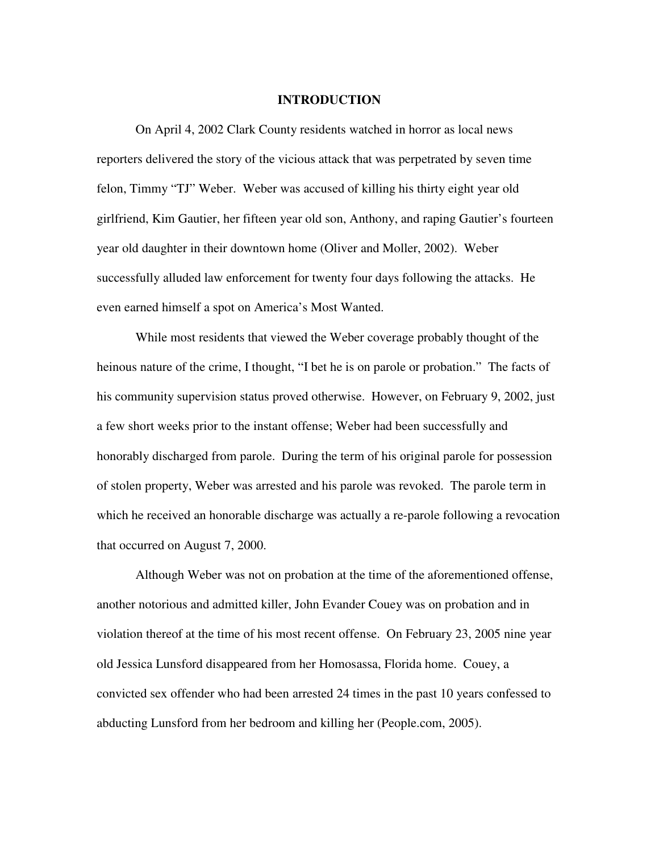#### **INTRODUCTION**

 On April 4, 2002 Clark County residents watched in horror as local news reporters delivered the story of the vicious attack that was perpetrated by seven time felon, Timmy "TJ" Weber. Weber was accused of killing his thirty eight year old girlfriend, Kim Gautier, her fifteen year old son, Anthony, and raping Gautier's fourteen year old daughter in their downtown home (Oliver and Moller, 2002). Weber successfully alluded law enforcement for twenty four days following the attacks. He even earned himself a spot on America's Most Wanted.

While most residents that viewed the Weber coverage probably thought of the heinous nature of the crime, I thought, "I bet he is on parole or probation." The facts of his community supervision status proved otherwise. However, on February 9, 2002, just a few short weeks prior to the instant offense; Weber had been successfully and honorably discharged from parole. During the term of his original parole for possession of stolen property, Weber was arrested and his parole was revoked. The parole term in which he received an honorable discharge was actually a re-parole following a revocation that occurred on August 7, 2000.

Although Weber was not on probation at the time of the aforementioned offense, another notorious and admitted killer, John Evander Couey was on probation and in violation thereof at the time of his most recent offense. On February 23, 2005 nine year old Jessica Lunsford disappeared from her Homosassa, Florida home. Couey, a convicted sex offender who had been arrested 24 times in the past 10 years confessed to abducting Lunsford from her bedroom and killing her (People.com, 2005).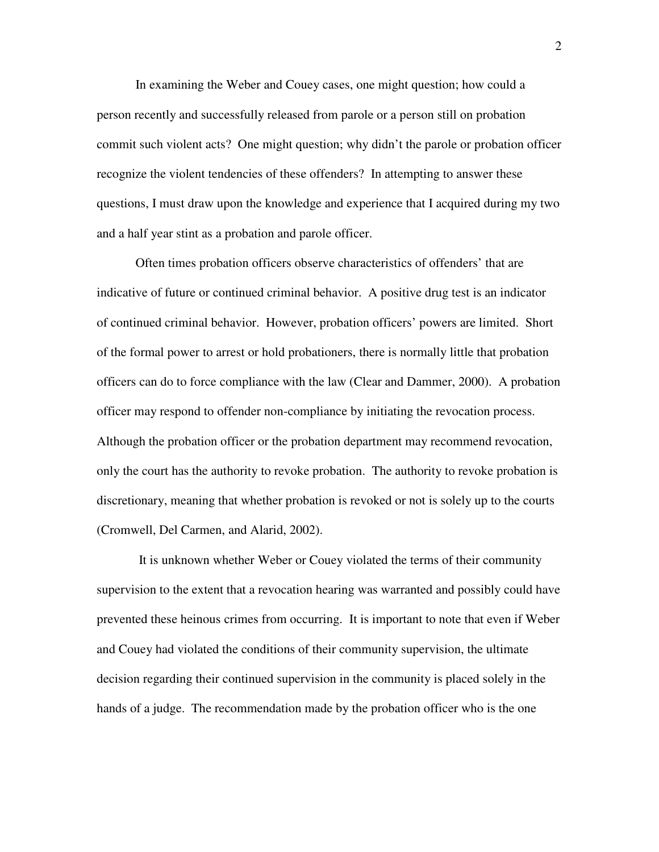In examining the Weber and Couey cases, one might question; how could a person recently and successfully released from parole or a person still on probation commit such violent acts? One might question; why didn't the parole or probation officer recognize the violent tendencies of these offenders? In attempting to answer these questions, I must draw upon the knowledge and experience that I acquired during my two and a half year stint as a probation and parole officer.

Often times probation officers observe characteristics of offenders' that are indicative of future or continued criminal behavior. A positive drug test is an indicator of continued criminal behavior. However, probation officers' powers are limited. Short of the formal power to arrest or hold probationers, there is normally little that probation officers can do to force compliance with the law (Clear and Dammer, 2000). A probation officer may respond to offender non-compliance by initiating the revocation process. Although the probation officer or the probation department may recommend revocation, only the court has the authority to revoke probation. The authority to revoke probation is discretionary, meaning that whether probation is revoked or not is solely up to the courts (Cromwell, Del Carmen, and Alarid, 2002).

 It is unknown whether Weber or Couey violated the terms of their community supervision to the extent that a revocation hearing was warranted and possibly could have prevented these heinous crimes from occurring. It is important to note that even if Weber and Couey had violated the conditions of their community supervision, the ultimate decision regarding their continued supervision in the community is placed solely in the hands of a judge. The recommendation made by the probation officer who is the one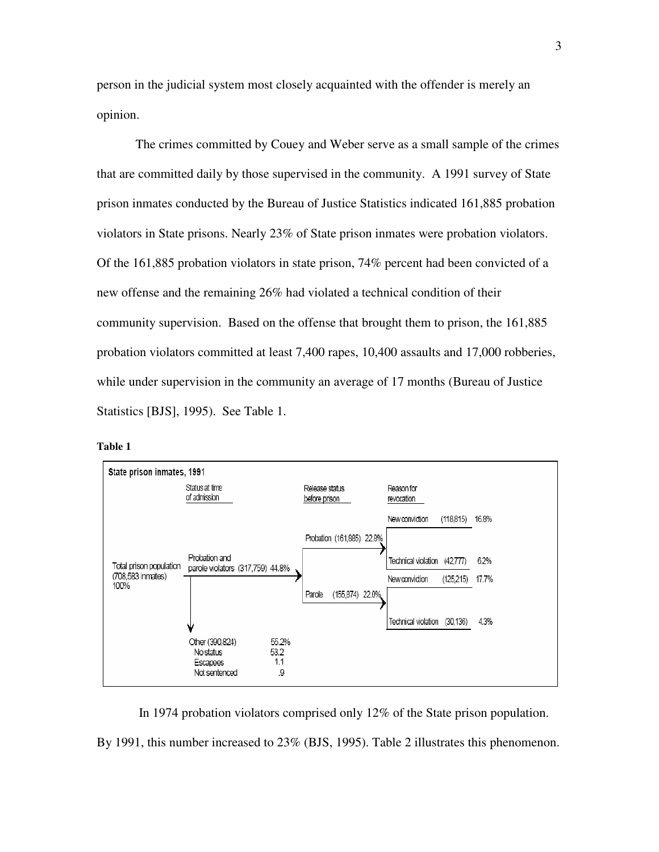person in the judicial system most closely acquainted with the offender is merely an opinion.

The crimes committed by Couey and Weber serve as a small sample of the crimes that are committed daily by those supervised in the community. A 1991 survey of State prison inmates conducted by the Bureau of Justice Statistics indicated 161,885 probation violators in State prisons. Nearly 23% of State prison inmates were probation violators. Of the 161,885 probation violators in state prison, 74% percent had been convicted of a new offense and the remaining 26% had violated a technical condition of their community supervision. Based on the offense that brought them to prison, the 161,885 probation violators committed at least 7,400 rapes, 10,400 assaults and 17,000 robberies, while under supervision in the community an average of 17 months (Bureau of Justice Statistics [BJS], 1995). See Table 1.



| anı |  |
|-----|--|
|     |  |

In 1974 probation violators comprised only 12% of the State prison population.

By 1991, this number increased to 23% (BJS, 1995). Table 2 illustrates this phenomenon.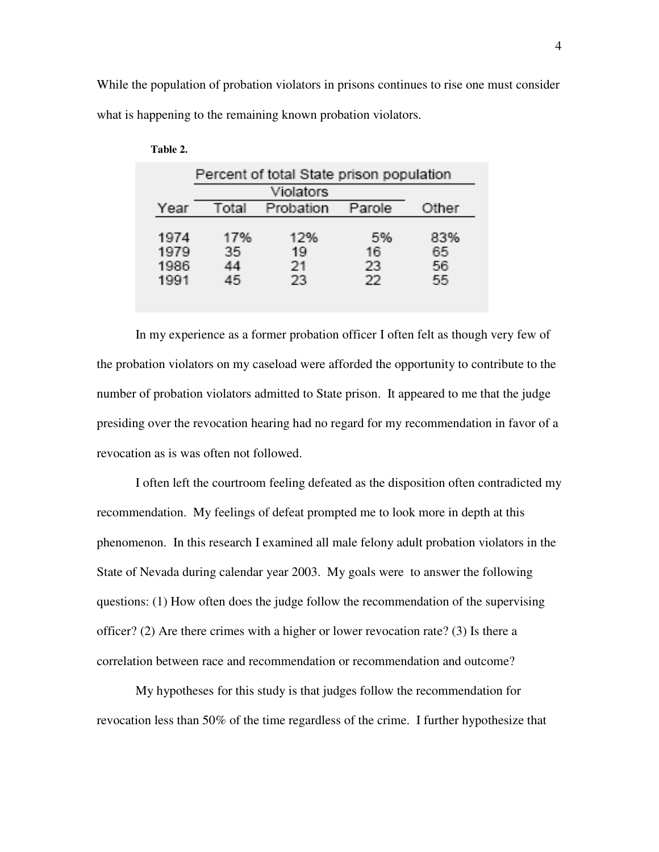While the population of probation violators in prisons continues to rise one must consider what is happening to the remaining known probation violators.

| Percent of total State prison population |                        |                       |                       |                       |  |  |  |  |
|------------------------------------------|------------------------|-----------------------|-----------------------|-----------------------|--|--|--|--|
|                                          | Violators              |                       |                       |                       |  |  |  |  |
| Year                                     | Total                  | Probation             | Parole                | Other                 |  |  |  |  |
| 1974<br>1979<br>1986<br>1991             | 17%<br>35.<br>44<br>45 | 12%<br>19<br>21<br>23 | 5%<br>16<br>23<br>-22 | 83%<br>65<br>56<br>55 |  |  |  |  |

| Table 2. |
|----------|
|----------|

In my experience as a former probation officer I often felt as though very few of the probation violators on my caseload were afforded the opportunity to contribute to the number of probation violators admitted to State prison. It appeared to me that the judge presiding over the revocation hearing had no regard for my recommendation in favor of a revocation as is was often not followed.

I often left the courtroom feeling defeated as the disposition often contradicted my recommendation. My feelings of defeat prompted me to look more in depth at this phenomenon. In this research I examined all male felony adult probation violators in the State of Nevada during calendar year 2003. My goals were to answer the following questions: (1) How often does the judge follow the recommendation of the supervising officer? (2) Are there crimes with a higher or lower revocation rate? (3) Is there a correlation between race and recommendation or recommendation and outcome?

My hypotheses for this study is that judges follow the recommendation for revocation less than 50% of the time regardless of the crime. I further hypothesize that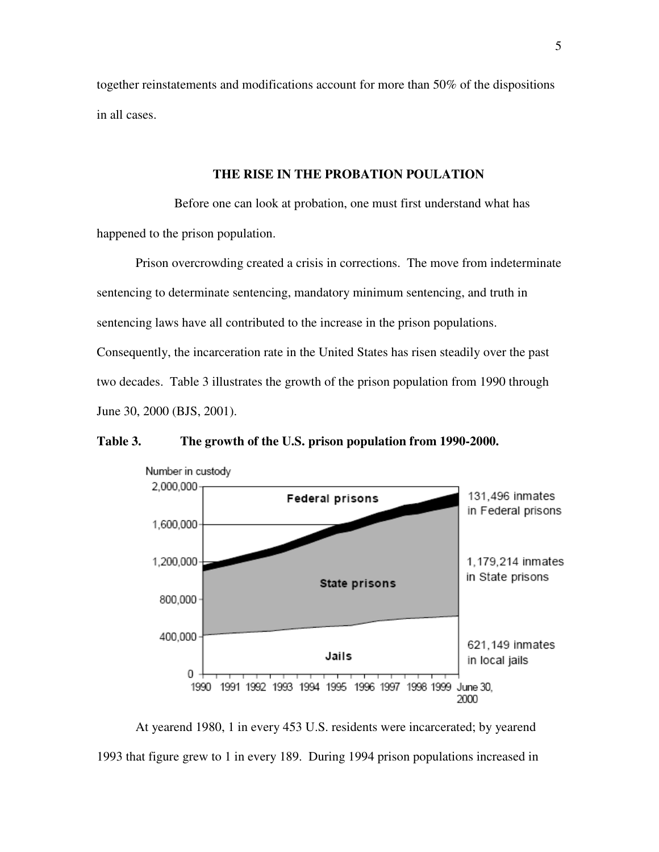together reinstatements and modifications account for more than 50% of the dispositions in all cases.

#### **THE RISE IN THE PROBATION POULATION**

Before one can look at probation, one must first understand what has happened to the prison population.

Prison overcrowding created a crisis in corrections. The move from indeterminate sentencing to determinate sentencing, mandatory minimum sentencing, and truth in sentencing laws have all contributed to the increase in the prison populations. Consequently, the incarceration rate in the United States has risen steadily over the past two decades. Table 3 illustrates the growth of the prison population from 1990 through June 30, 2000 (BJS, 2001).

**Table 3. The growth of the U.S. prison population from 1990-2000.** 



At yearend 1980, 1 in every 453 U.S. residents were incarcerated; by yearend 1993 that figure grew to 1 in every 189. During 1994 prison populations increased in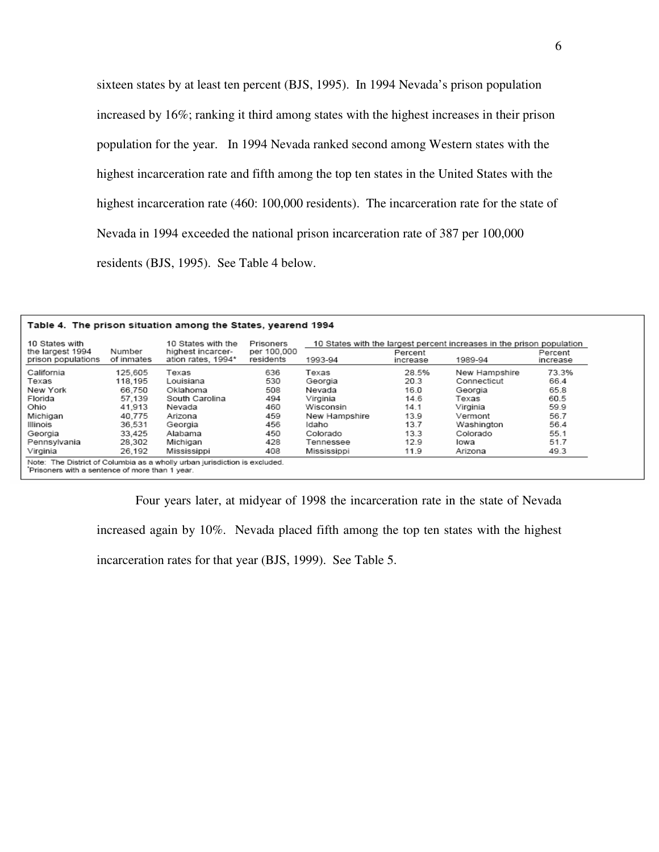sixteen states by at least ten percent (BJS, 1995). In 1994 Nevada's prison population increased by 16%; ranking it third among states with the highest increases in their prison population for the year. In 1994 Nevada ranked second among Western states with the highest incarceration rate and fifth among the top ten states in the United States with the highest incarceration rate (460: 100,000 residents). The incarceration rate for the state of Nevada in 1994 exceeded the national prison incarceration rate of 387 per 100,000 residents (BJS, 1995). See Table 4 below.

#### Table 4. The prison situation among the States, yearend 1994

| the largest 1994<br>prison populations | Number<br>of inmates | 10 States with the<br>highest incarcer-<br>ation rates, 1994* | Prisoners<br>per 100,000<br>residents | 10 States with the largest percent increases in the prison population<br>1993-94 | Percent<br>increase | 1989-94       | Percent<br>increase |
|----------------------------------------|----------------------|---------------------------------------------------------------|---------------------------------------|----------------------------------------------------------------------------------|---------------------|---------------|---------------------|
| California                             | 125.605              | Texas                                                         | 636                                   | Texas                                                                            | 28.5%               | New Hampshire | 73.3%               |
| Texas                                  | 118.195              | Louisiana                                                     | 530                                   | Georgia                                                                          | 20.3                | Connecticut   | 66.4                |
| New York                               | 66.750               | Oklahoma                                                      | 508                                   | Nevada                                                                           | 16.0                | Georgia       | 65.8                |
| Florida                                | 57.139               | South Carolina                                                | 494                                   | Virginia                                                                         | 14.6                | Texas         | 60.5                |
| Ohio                                   | 41.913               | Nevada                                                        | 460                                   | Wisconsin                                                                        | 14.1                | Virginia      | 59.9                |
| Michigan                               | 40.775               | Arizona                                                       | 459                                   | New Hampshire                                                                    | 13.9                | Vermont       | 56.7                |
| Illinois                               | 36,531               | Georgia                                                       | 456                                   | Idaho                                                                            | 13.7                | Washington    | 56.4                |
| Georgia                                | 33.425               | Alabama                                                       | 450                                   | Colorado                                                                         | 13.3                | Colorado      | 55.1                |
| Pennsylvania                           | 28.302               | Michigan                                                      | 428                                   | Tennessee                                                                        | 12.9                | lowa          | 51.7                |
| Virginia                               | 26,192               | Mississippi                                                   | 408                                   | Mississippi                                                                      | 11.9                | Arizona       | 49.3                |

 Four years later, at midyear of 1998 the incarceration rate in the state of Nevada increased again by 10%. Nevada placed fifth among the top ten states with the highest

incarceration rates for that year (BJS, 1999). See Table 5.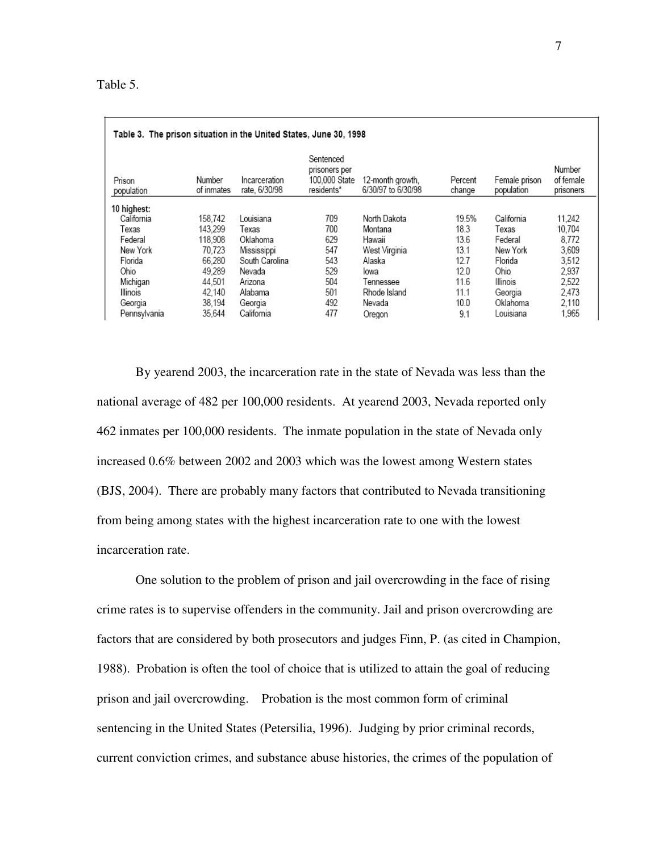| Table 3. The prison situation in the United States, June 30, 1998 |                      |                                |                                                           |                                        |                   |                             |                                  |
|-------------------------------------------------------------------|----------------------|--------------------------------|-----------------------------------------------------------|----------------------------------------|-------------------|-----------------------------|----------------------------------|
| Prison<br>population                                              | Number<br>of inmates | Incarceration<br>rate, 6/30/98 | Sentenced<br>prisoners per<br>100,000 State<br>residents* | 12-month growth.<br>6/30/97 to 6/30/98 | Percent<br>change | Female prison<br>population | Number<br>of female<br>prisoners |
| 10 highest:                                                       |                      |                                |                                                           |                                        |                   |                             |                                  |
| California                                                        | 158.742              | Louisiana                      | 709                                                       | North Dakota                           | 19.5%             | California                  | 11,242                           |
| Texas                                                             | 143.299              | Texas                          | 700                                                       | Montana                                | 18.3              | Texas                       | 10,704                           |
| Federal                                                           | 118.908              | Oklahoma                       | 629                                                       | Hawaii                                 | 13.6              | Federal                     | 8.772                            |
| New York                                                          | 70.723               | Mississippi                    | 547                                                       | West Virginia                          | 13.1              | New York                    | 3,609                            |
| Florida                                                           | 66.280               | South Carolina                 | 543                                                       | Alaska                                 | 12.7              | Florida                     | 3.512                            |
| Ohio                                                              | 49.289               | Nevada                         | 529                                                       | lowa                                   | 12.0              | Ohio                        | 2.937                            |
| Michigan                                                          | 44.501               | Arizona                        | 504                                                       | Tennessee                              | 11.6              | Illinois                    | 2.522                            |
| Illinois                                                          | 42,140               | Alabama                        | 501                                                       | Rhode Island                           | 11.1              | Georgia                     | 2.473                            |
| Georgia                                                           | 38,194               | Georgia                        | 492                                                       | Nevada                                 | 10.0              | Oklahoma                    | 2.110                            |
| Pennsylvania                                                      | 35.644               | California                     | 477                                                       | Oregon                                 | 9.1               | Louisiana                   | 1.965                            |

By yearend 2003, the incarceration rate in the state of Nevada was less than the national average of 482 per 100,000 residents. At yearend 2003, Nevada reported only 462 inmates per 100,000 residents. The inmate population in the state of Nevada only increased 0.6% between 2002 and 2003 which was the lowest among Western states (BJS, 2004). There are probably many factors that contributed to Nevada transitioning from being among states with the highest incarceration rate to one with the lowest incarceration rate.

One solution to the problem of prison and jail overcrowding in the face of rising crime rates is to supervise offenders in the community. Jail and prison overcrowding are factors that are considered by both prosecutors and judges Finn, P. (as cited in Champion, 1988). Probation is often the tool of choice that is utilized to attain the goal of reducing prison and jail overcrowding. Probation is the most common form of criminal sentencing in the United States (Petersilia, 1996). Judging by prior criminal records, current conviction crimes, and substance abuse histories, the crimes of the population of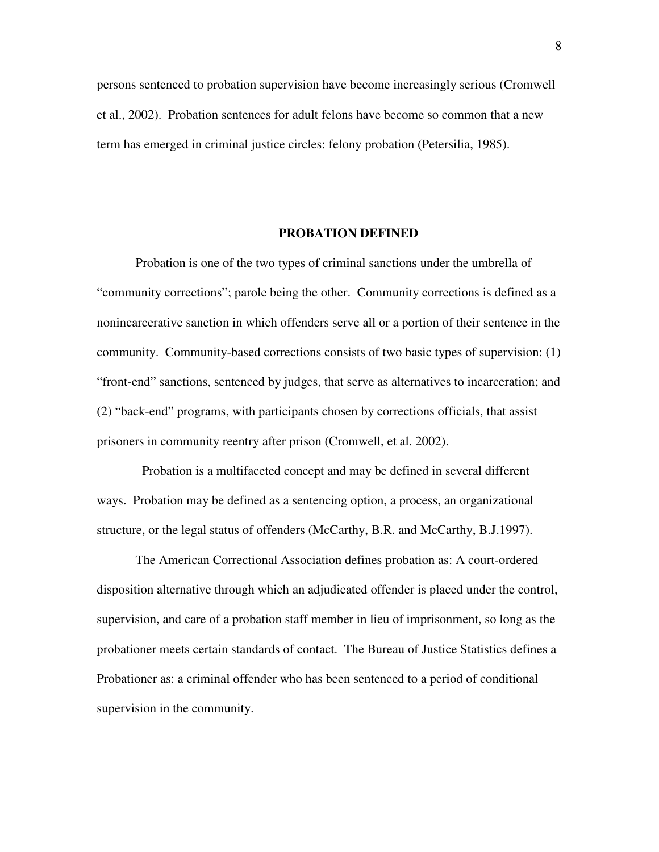persons sentenced to probation supervision have become increasingly serious (Cromwell et al., 2002). Probation sentences for adult felons have become so common that a new term has emerged in criminal justice circles: felony probation (Petersilia, 1985).

#### **PROBATION DEFINED**

Probation is one of the two types of criminal sanctions under the umbrella of "community corrections"; parole being the other. Community corrections is defined as a nonincarcerative sanction in which offenders serve all or a portion of their sentence in the community. Community-based corrections consists of two basic types of supervision: (1) "front-end" sanctions, sentenced by judges, that serve as alternatives to incarceration; and (2) "back-end" programs, with participants chosen by corrections officials, that assist prisoners in community reentry after prison (Cromwell, et al. 2002).

 Probation is a multifaceted concept and may be defined in several different ways. Probation may be defined as a sentencing option, a process, an organizational structure, or the legal status of offenders (McCarthy, B.R. and McCarthy, B.J.1997).

The American Correctional Association defines probation as: A court-ordered disposition alternative through which an adjudicated offender is placed under the control, supervision, and care of a probation staff member in lieu of imprisonment, so long as the probationer meets certain standards of contact. The Bureau of Justice Statistics defines a Probationer as: a criminal offender who has been sentenced to a period of conditional supervision in the community.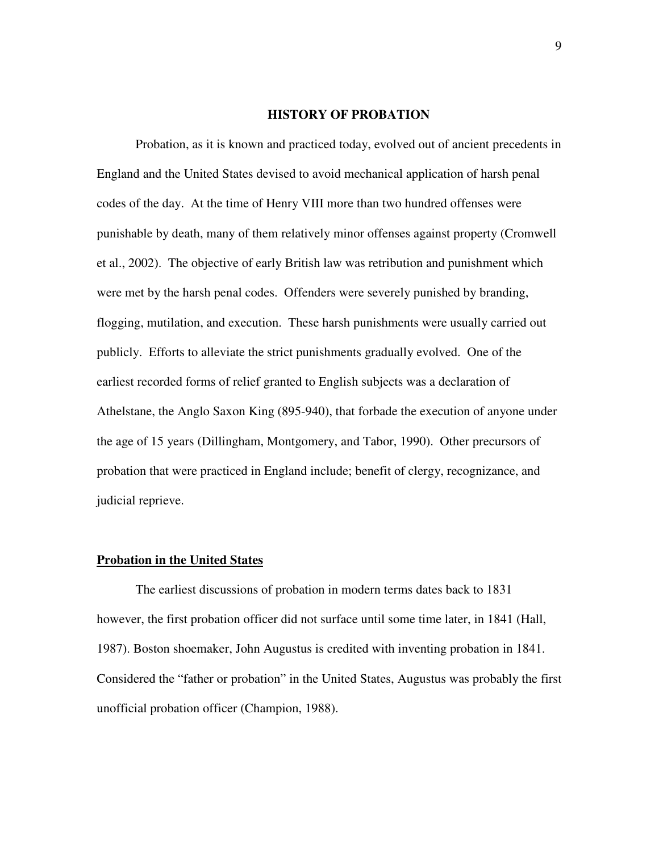#### **HISTORY OF PROBATION**

Probation, as it is known and practiced today, evolved out of ancient precedents in England and the United States devised to avoid mechanical application of harsh penal codes of the day. At the time of Henry VIII more than two hundred offenses were punishable by death, many of them relatively minor offenses against property (Cromwell et al., 2002). The objective of early British law was retribution and punishment which were met by the harsh penal codes. Offenders were severely punished by branding, flogging, mutilation, and execution. These harsh punishments were usually carried out publicly. Efforts to alleviate the strict punishments gradually evolved. One of the earliest recorded forms of relief granted to English subjects was a declaration of Athelstane, the Anglo Saxon King (895-940), that forbade the execution of anyone under the age of 15 years (Dillingham, Montgomery, and Tabor, 1990). Other precursors of probation that were practiced in England include; benefit of clergy, recognizance, and judicial reprieve.

#### **Probation in the United States**

The earliest discussions of probation in modern terms dates back to 1831 however, the first probation officer did not surface until some time later, in 1841 (Hall, 1987). Boston shoemaker, John Augustus is credited with inventing probation in 1841. Considered the "father or probation" in the United States, Augustus was probably the first unofficial probation officer (Champion, 1988).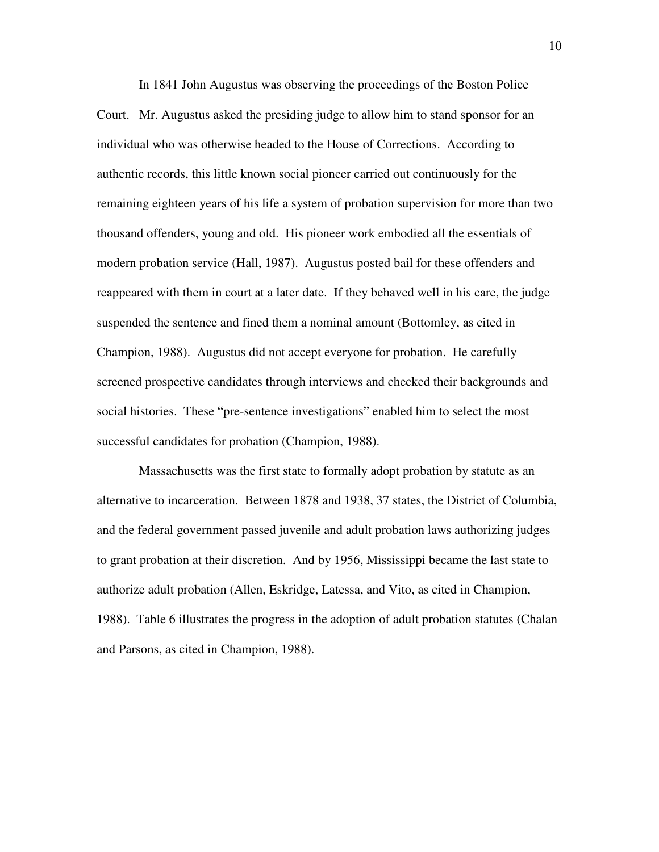In 1841 John Augustus was observing the proceedings of the Boston Police Court. Mr. Augustus asked the presiding judge to allow him to stand sponsor for an individual who was otherwise headed to the House of Corrections. According to authentic records, this little known social pioneer carried out continuously for the remaining eighteen years of his life a system of probation supervision for more than two thousand offenders, young and old. His pioneer work embodied all the essentials of modern probation service (Hall, 1987). Augustus posted bail for these offenders and reappeared with them in court at a later date. If they behaved well in his care, the judge suspended the sentence and fined them a nominal amount (Bottomley, as cited in Champion, 1988). Augustus did not accept everyone for probation. He carefully screened prospective candidates through interviews and checked their backgrounds and social histories. These "pre-sentence investigations" enabled him to select the most successful candidates for probation (Champion, 1988).

 Massachusetts was the first state to formally adopt probation by statute as an alternative to incarceration. Between 1878 and 1938, 37 states, the District of Columbia, and the federal government passed juvenile and adult probation laws authorizing judges to grant probation at their discretion. And by 1956, Mississippi became the last state to authorize adult probation (Allen, Eskridge, Latessa, and Vito, as cited in Champion, 1988). Table 6 illustrates the progress in the adoption of adult probation statutes (Chalan and Parsons, as cited in Champion, 1988).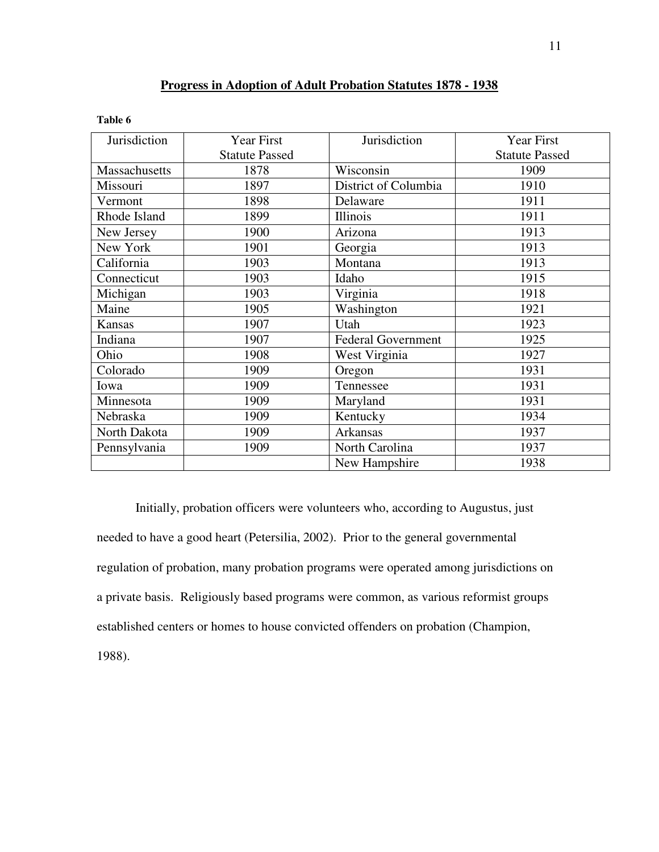#### **Progress in Adoption of Adult Probation Statutes 1878 - 1938**

| ۱Ŋ<br>٦.<br>я |  |
|---------------|--|
|---------------|--|

| Jurisdiction  | Year First            | Jurisdiction              | Year First            |
|---------------|-----------------------|---------------------------|-----------------------|
|               | <b>Statute Passed</b> |                           | <b>Statute Passed</b> |
| Massachusetts | 1878                  | Wisconsin                 | 1909                  |
| Missouri      | 1897                  | District of Columbia      | 1910                  |
| Vermont       | 1898                  | Delaware                  | 1911                  |
| Rhode Island  | 1899                  | Illinois                  | 1911                  |
| New Jersey    | 1900                  | Arizona                   | 1913                  |
| New York      | 1901                  | Georgia                   | 1913                  |
| California    | 1903                  | Montana                   | 1913                  |
| Connecticut   | 1903                  | Idaho                     | 1915                  |
| Michigan      | 1903                  | Virginia                  | 1918                  |
| Maine         | 1905                  | Washington                | 1921                  |
| Kansas        | 1907                  | Utah                      | 1923                  |
| Indiana       | 1907                  | <b>Federal Government</b> | 1925                  |
| Ohio          | 1908                  | West Virginia             | 1927                  |
| Colorado      | 1909                  | Oregon                    | 1931                  |
| Iowa          | 1909                  | Tennessee                 | 1931                  |
| Minnesota     | 1909                  | Maryland                  | 1931                  |
| Nebraska      | 1909                  | Kentucky                  | 1934                  |
| North Dakota  | 1909                  | Arkansas                  | 1937                  |
| Pennsylvania  | 1909                  | North Carolina            | 1937                  |
|               |                       | New Hampshire             | 1938                  |

Initially, probation officers were volunteers who, according to Augustus, just needed to have a good heart (Petersilia, 2002). Prior to the general governmental regulation of probation, many probation programs were operated among jurisdictions on a private basis. Religiously based programs were common, as various reformist groups established centers or homes to house convicted offenders on probation (Champion, 1988).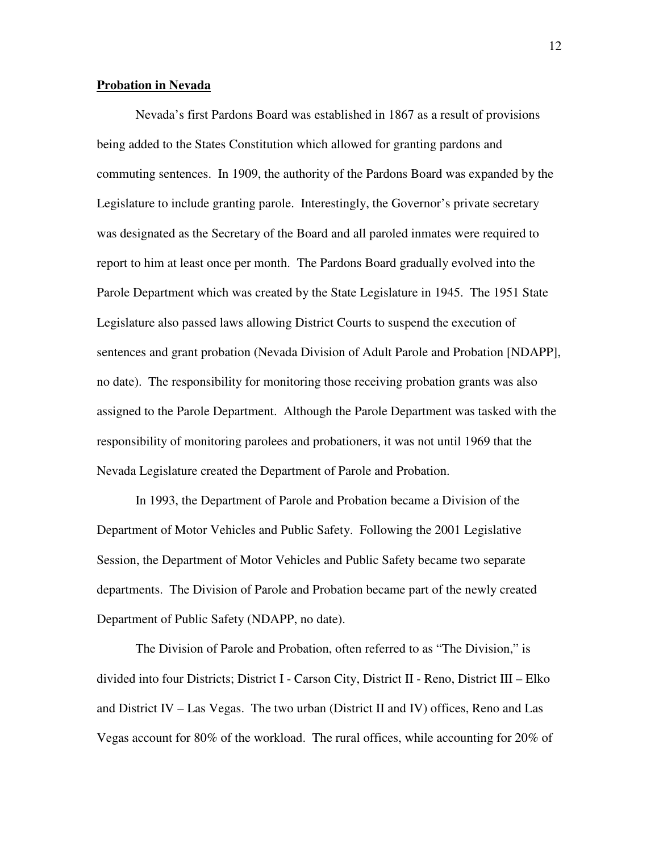#### **Probation in Nevada**

Nevada's first Pardons Board was established in 1867 as a result of provisions being added to the States Constitution which allowed for granting pardons and commuting sentences. In 1909, the authority of the Pardons Board was expanded by the Legislature to include granting parole. Interestingly, the Governor's private secretary was designated as the Secretary of the Board and all paroled inmates were required to report to him at least once per month. The Pardons Board gradually evolved into the Parole Department which was created by the State Legislature in 1945. The 1951 State Legislature also passed laws allowing District Courts to suspend the execution of sentences and grant probation (Nevada Division of Adult Parole and Probation [NDAPP], no date). The responsibility for monitoring those receiving probation grants was also assigned to the Parole Department. Although the Parole Department was tasked with the responsibility of monitoring parolees and probationers, it was not until 1969 that the Nevada Legislature created the Department of Parole and Probation.

In 1993, the Department of Parole and Probation became a Division of the Department of Motor Vehicles and Public Safety. Following the 2001 Legislative Session, the Department of Motor Vehicles and Public Safety became two separate departments. The Division of Parole and Probation became part of the newly created Department of Public Safety (NDAPP, no date).

The Division of Parole and Probation, often referred to as "The Division," is divided into four Districts; District I - Carson City, District II - Reno, District III – Elko and District IV – Las Vegas. The two urban (District II and IV) offices, Reno and Las Vegas account for 80% of the workload. The rural offices, while accounting for 20% of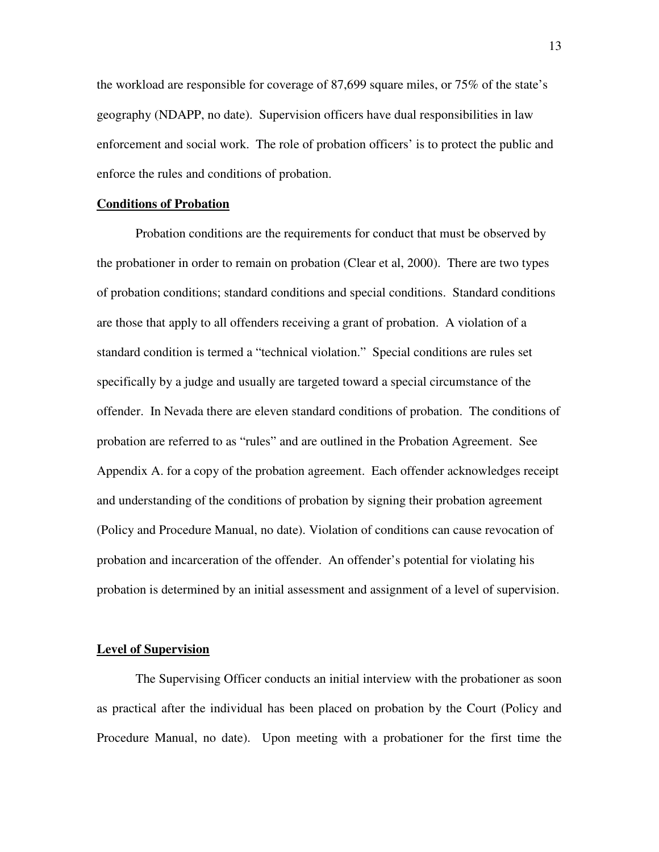the workload are responsible for coverage of 87,699 square miles, or 75% of the state's geography (NDAPP, no date). Supervision officers have dual responsibilities in law enforcement and social work. The role of probation officers' is to protect the public and enforce the rules and conditions of probation.

#### **Conditions of Probation**

Probation conditions are the requirements for conduct that must be observed by the probationer in order to remain on probation (Clear et al, 2000). There are two types of probation conditions; standard conditions and special conditions. Standard conditions are those that apply to all offenders receiving a grant of probation. A violation of a standard condition is termed a "technical violation." Special conditions are rules set specifically by a judge and usually are targeted toward a special circumstance of the offender. In Nevada there are eleven standard conditions of probation. The conditions of probation are referred to as "rules" and are outlined in the Probation Agreement. See Appendix A. for a copy of the probation agreement. Each offender acknowledges receipt and understanding of the conditions of probation by signing their probation agreement (Policy and Procedure Manual, no date). Violation of conditions can cause revocation of probation and incarceration of the offender. An offender's potential for violating his probation is determined by an initial assessment and assignment of a level of supervision.

#### **Level of Supervision**

The Supervising Officer conducts an initial interview with the probationer as soon as practical after the individual has been placed on probation by the Court (Policy and Procedure Manual, no date). Upon meeting with a probationer for the first time the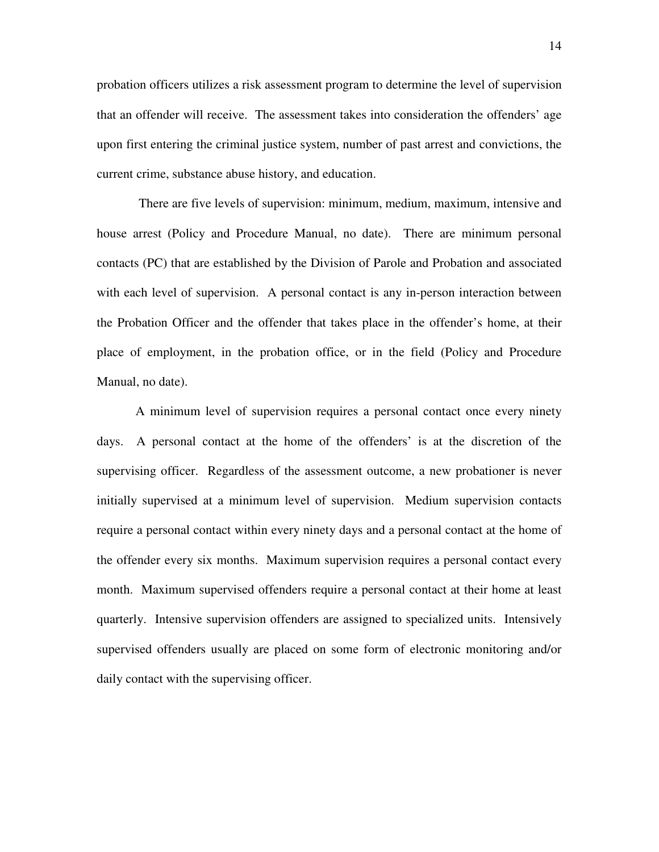probation officers utilizes a risk assessment program to determine the level of supervision that an offender will receive. The assessment takes into consideration the offenders' age upon first entering the criminal justice system, number of past arrest and convictions, the current crime, substance abuse history, and education.

 There are five levels of supervision: minimum, medium, maximum, intensive and house arrest (Policy and Procedure Manual, no date). There are minimum personal contacts (PC) that are established by the Division of Parole and Probation and associated with each level of supervision. A personal contact is any in-person interaction between the Probation Officer and the offender that takes place in the offender's home, at their place of employment, in the probation office, or in the field (Policy and Procedure Manual, no date).

A minimum level of supervision requires a personal contact once every ninety days. A personal contact at the home of the offenders' is at the discretion of the supervising officer. Regardless of the assessment outcome, a new probationer is never initially supervised at a minimum level of supervision. Medium supervision contacts require a personal contact within every ninety days and a personal contact at the home of the offender every six months. Maximum supervision requires a personal contact every month. Maximum supervised offenders require a personal contact at their home at least quarterly. Intensive supervision offenders are assigned to specialized units. Intensively supervised offenders usually are placed on some form of electronic monitoring and/or daily contact with the supervising officer.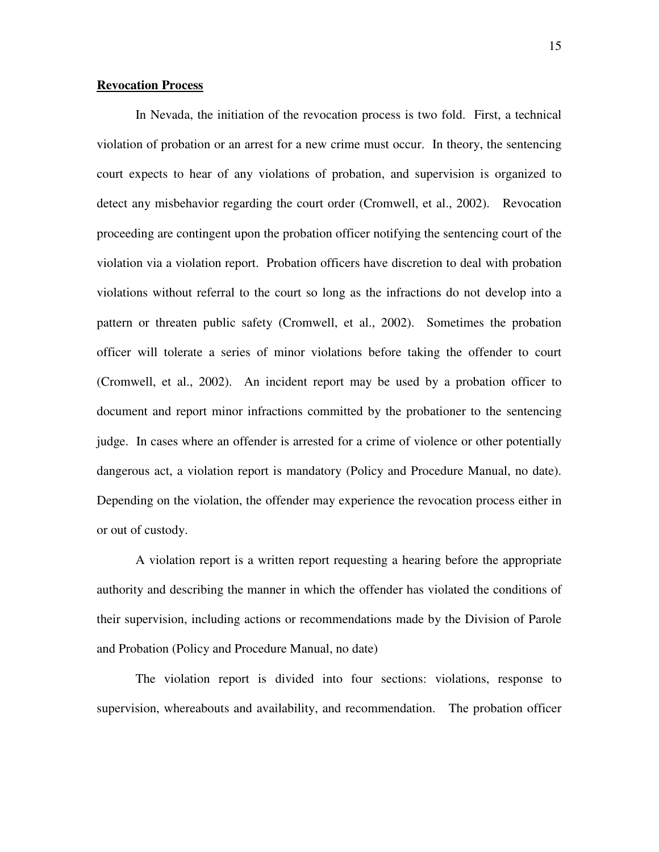#### **Revocation Process**

 In Nevada, the initiation of the revocation process is two fold. First, a technical violation of probation or an arrest for a new crime must occur. In theory, the sentencing court expects to hear of any violations of probation, and supervision is organized to detect any misbehavior regarding the court order (Cromwell, et al., 2002). Revocation proceeding are contingent upon the probation officer notifying the sentencing court of the violation via a violation report. Probation officers have discretion to deal with probation violations without referral to the court so long as the infractions do not develop into a pattern or threaten public safety (Cromwell, et al., 2002). Sometimes the probation officer will tolerate a series of minor violations before taking the offender to court (Cromwell, et al., 2002). An incident report may be used by a probation officer to document and report minor infractions committed by the probationer to the sentencing judge. In cases where an offender is arrested for a crime of violence or other potentially dangerous act, a violation report is mandatory (Policy and Procedure Manual, no date). Depending on the violation, the offender may experience the revocation process either in or out of custody.

 A violation report is a written report requesting a hearing before the appropriate authority and describing the manner in which the offender has violated the conditions of their supervision, including actions or recommendations made by the Division of Parole and Probation (Policy and Procedure Manual, no date)

The violation report is divided into four sections: violations, response to supervision, whereabouts and availability, and recommendation. The probation officer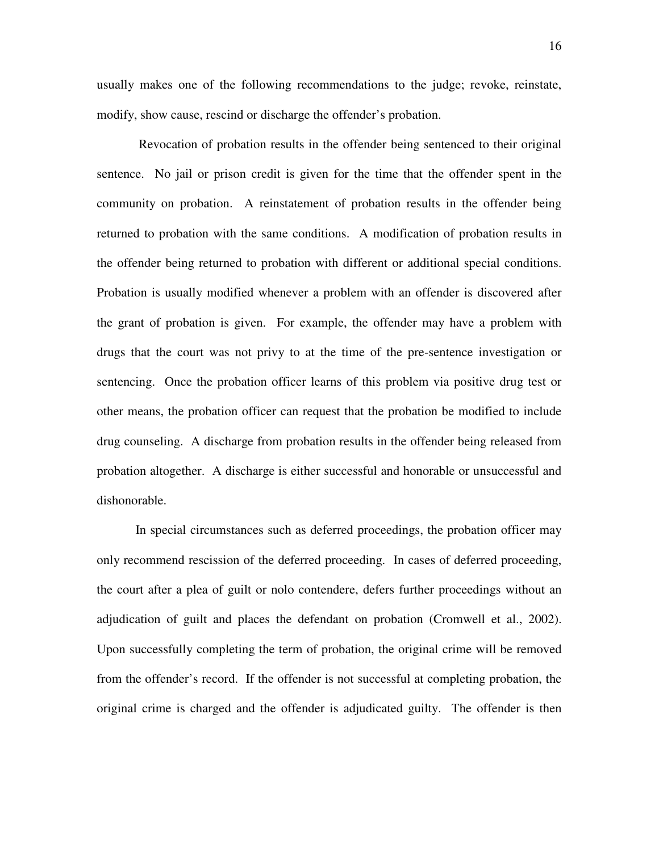usually makes one of the following recommendations to the judge; revoke, reinstate, modify, show cause, rescind or discharge the offender's probation.

 Revocation of probation results in the offender being sentenced to their original sentence. No jail or prison credit is given for the time that the offender spent in the community on probation. A reinstatement of probation results in the offender being returned to probation with the same conditions. A modification of probation results in the offender being returned to probation with different or additional special conditions. Probation is usually modified whenever a problem with an offender is discovered after the grant of probation is given. For example, the offender may have a problem with drugs that the court was not privy to at the time of the pre-sentence investigation or sentencing. Once the probation officer learns of this problem via positive drug test or other means, the probation officer can request that the probation be modified to include drug counseling. A discharge from probation results in the offender being released from probation altogether. A discharge is either successful and honorable or unsuccessful and dishonorable.

In special circumstances such as deferred proceedings, the probation officer may only recommend rescission of the deferred proceeding. In cases of deferred proceeding, the court after a plea of guilt or nolo contendere, defers further proceedings without an adjudication of guilt and places the defendant on probation (Cromwell et al., 2002). Upon successfully completing the term of probation, the original crime will be removed from the offender's record. If the offender is not successful at completing probation, the original crime is charged and the offender is adjudicated guilty. The offender is then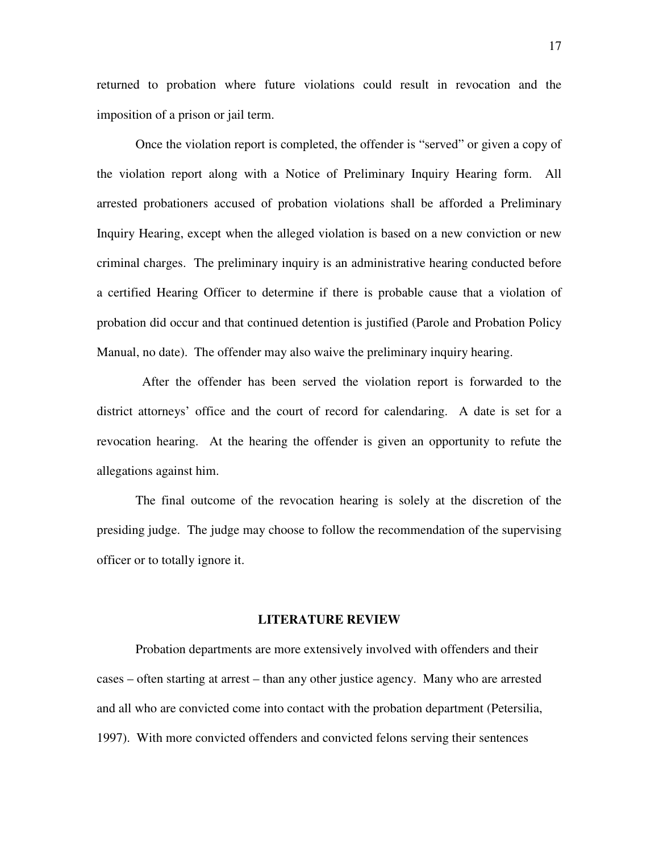returned to probation where future violations could result in revocation and the imposition of a prison or jail term.

Once the violation report is completed, the offender is "served" or given a copy of the violation report along with a Notice of Preliminary Inquiry Hearing form. All arrested probationers accused of probation violations shall be afforded a Preliminary Inquiry Hearing, except when the alleged violation is based on a new conviction or new criminal charges. The preliminary inquiry is an administrative hearing conducted before a certified Hearing Officer to determine if there is probable cause that a violation of probation did occur and that continued detention is justified (Parole and Probation Policy Manual, no date). The offender may also waive the preliminary inquiry hearing.

 After the offender has been served the violation report is forwarded to the district attorneys' office and the court of record for calendaring. A date is set for a revocation hearing. At the hearing the offender is given an opportunity to refute the allegations against him.

The final outcome of the revocation hearing is solely at the discretion of the presiding judge. The judge may choose to follow the recommendation of the supervising officer or to totally ignore it.

#### **LITERATURE REVIEW**

Probation departments are more extensively involved with offenders and their cases – often starting at arrest – than any other justice agency. Many who are arrested and all who are convicted come into contact with the probation department (Petersilia, 1997). With more convicted offenders and convicted felons serving their sentences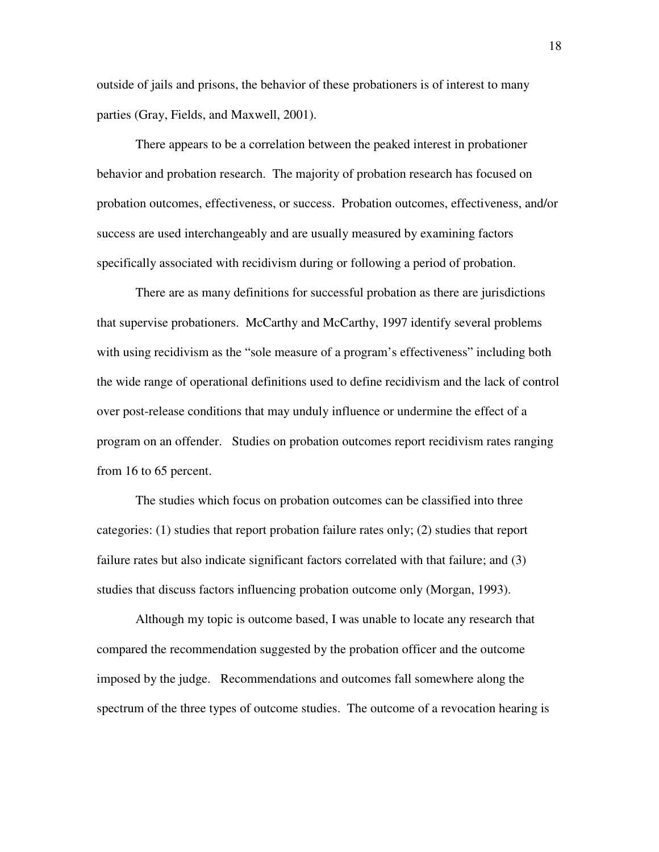outside of jails and prisons, the behavior of these probationers is of interest to many parties (Gray, Fields, and Maxwell, 2001).

There appears to be a correlation between the peaked interest in probationer behavior and probation research. The majority of probation research has focused on probation outcomes, effectiveness, or success. Probation outcomes, effectiveness, and/or success are used interchangeably and are usually measured by examining factors specifically associated with recidivism during or following a period of probation.

There are as many definitions for successful probation as there are jurisdictions that supervise probationers. McCarthy and McCarthy, 1997 identify several problems with using recidivism as the "sole measure of a program's effectiveness" including both the wide range of operational definitions used to define recidivism and the lack of control over post-release conditions that may unduly influence or undermine the effect of a program on an offender. Studies on probation outcomes report recidivism rates ranging from 16 to 65 percent.

The studies which focus on probation outcomes can be classified into three categories: (1) studies that report probation failure rates only; (2) studies that report failure rates but also indicate significant factors correlated with that failure; and (3) studies that discuss factors influencing probation outcome only (Morgan, 1993).

Although my topic is outcome based, I was unable to locate any research that compared the recommendation suggested by the probation officer and the outcome imposed by the judge. Recommendations and outcomes fall somewhere along the spectrum of the three types of outcome studies. The outcome of a revocation hearing is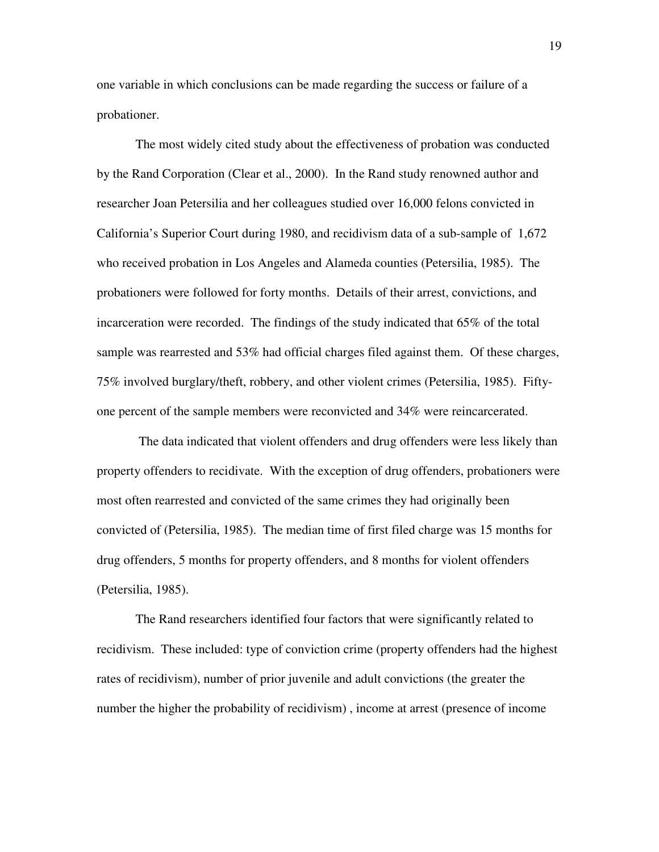one variable in which conclusions can be made regarding the success or failure of a probationer.

The most widely cited study about the effectiveness of probation was conducted by the Rand Corporation (Clear et al., 2000). In the Rand study renowned author and researcher Joan Petersilia and her colleagues studied over 16,000 felons convicted in California's Superior Court during 1980, and recidivism data of a sub-sample of 1,672 who received probation in Los Angeles and Alameda counties (Petersilia, 1985). The probationers were followed for forty months. Details of their arrest, convictions, and incarceration were recorded. The findings of the study indicated that 65% of the total sample was rearrested and 53% had official charges filed against them. Of these charges, 75% involved burglary/theft, robbery, and other violent crimes (Petersilia, 1985). Fiftyone percent of the sample members were reconvicted and 34% were reincarcerated.

 The data indicated that violent offenders and drug offenders were less likely than property offenders to recidivate. With the exception of drug offenders, probationers were most often rearrested and convicted of the same crimes they had originally been convicted of (Petersilia, 1985). The median time of first filed charge was 15 months for drug offenders, 5 months for property offenders, and 8 months for violent offenders (Petersilia, 1985).

The Rand researchers identified four factors that were significantly related to recidivism. These included: type of conviction crime (property offenders had the highest rates of recidivism), number of prior juvenile and adult convictions (the greater the number the higher the probability of recidivism) , income at arrest (presence of income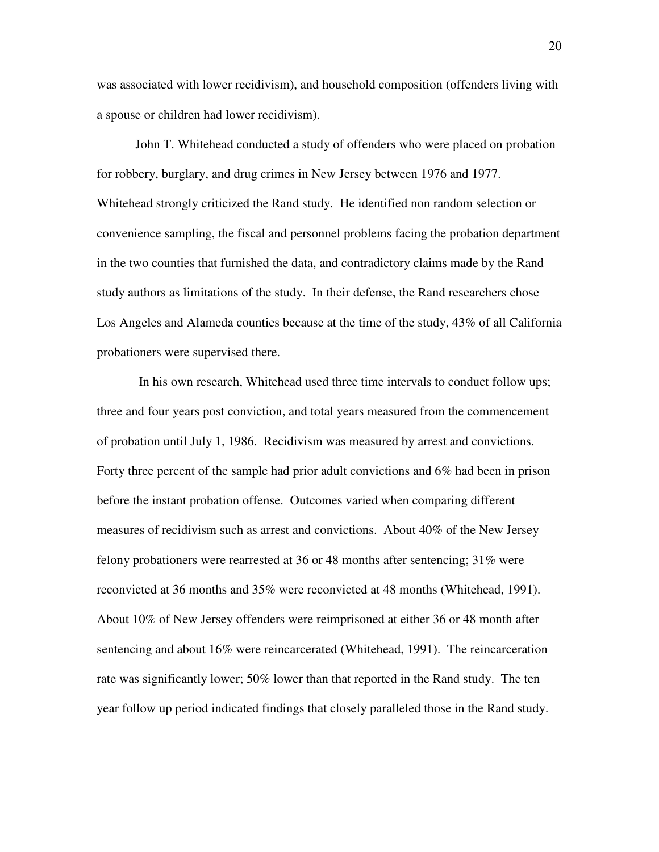was associated with lower recidivism), and household composition (offenders living with a spouse or children had lower recidivism).

John T. Whitehead conducted a study of offenders who were placed on probation for robbery, burglary, and drug crimes in New Jersey between 1976 and 1977. Whitehead strongly criticized the Rand study. He identified non random selection or convenience sampling, the fiscal and personnel problems facing the probation department in the two counties that furnished the data, and contradictory claims made by the Rand study authors as limitations of the study. In their defense, the Rand researchers chose Los Angeles and Alameda counties because at the time of the study, 43% of all California probationers were supervised there.

 In his own research, Whitehead used three time intervals to conduct follow ups; three and four years post conviction, and total years measured from the commencement of probation until July 1, 1986. Recidivism was measured by arrest and convictions. Forty three percent of the sample had prior adult convictions and 6% had been in prison before the instant probation offense. Outcomes varied when comparing different measures of recidivism such as arrest and convictions. About 40% of the New Jersey felony probationers were rearrested at 36 or 48 months after sentencing; 31% were reconvicted at 36 months and 35% were reconvicted at 48 months (Whitehead, 1991). About 10% of New Jersey offenders were reimprisoned at either 36 or 48 month after sentencing and about 16% were reincarcerated (Whitehead, 1991). The reincarceration rate was significantly lower; 50% lower than that reported in the Rand study. The ten year follow up period indicated findings that closely paralleled those in the Rand study.

20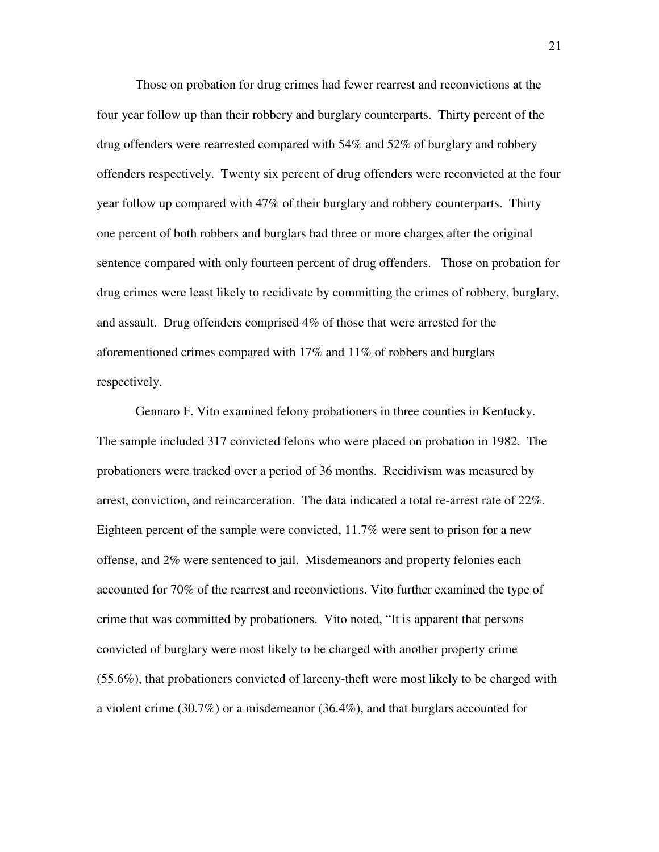Those on probation for drug crimes had fewer rearrest and reconvictions at the four year follow up than their robbery and burglary counterparts. Thirty percent of the drug offenders were rearrested compared with 54% and 52% of burglary and robbery offenders respectively. Twenty six percent of drug offenders were reconvicted at the four year follow up compared with 47% of their burglary and robbery counterparts. Thirty one percent of both robbers and burglars had three or more charges after the original sentence compared with only fourteen percent of drug offenders. Those on probation for drug crimes were least likely to recidivate by committing the crimes of robbery, burglary, and assault. Drug offenders comprised 4% of those that were arrested for the aforementioned crimes compared with 17% and 11% of robbers and burglars respectively.

Gennaro F. Vito examined felony probationers in three counties in Kentucky. The sample included 317 convicted felons who were placed on probation in 1982. The probationers were tracked over a period of 36 months. Recidivism was measured by arrest, conviction, and reincarceration. The data indicated a total re-arrest rate of 22%. Eighteen percent of the sample were convicted, 11.7% were sent to prison for a new offense, and 2% were sentenced to jail. Misdemeanors and property felonies each accounted for 70% of the rearrest and reconvictions. Vito further examined the type of crime that was committed by probationers. Vito noted, "It is apparent that persons convicted of burglary were most likely to be charged with another property crime (55.6%), that probationers convicted of larceny-theft were most likely to be charged with a violent crime (30.7%) or a misdemeanor (36.4%), and that burglars accounted for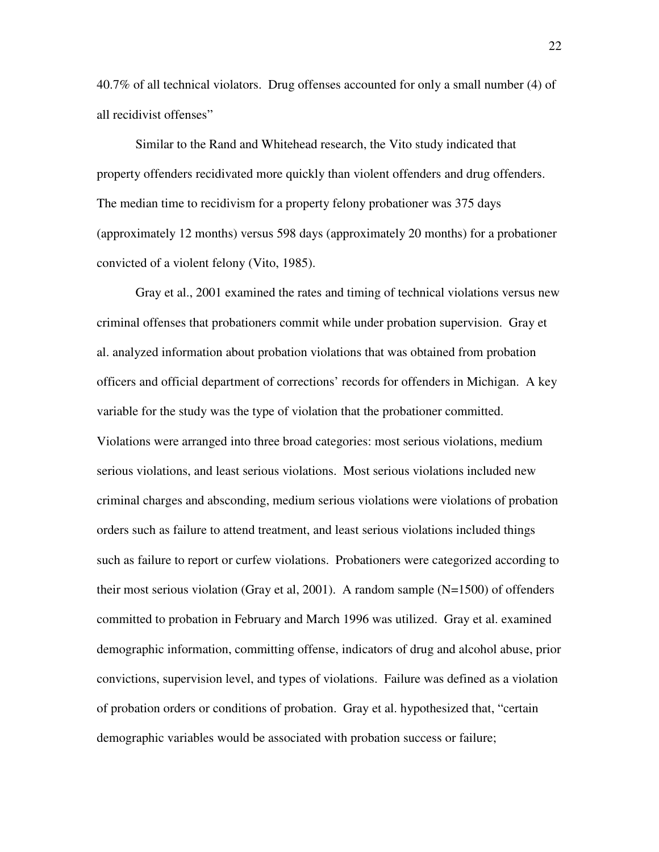40.7% of all technical violators. Drug offenses accounted for only a small number (4) of all recidivist offenses"

Similar to the Rand and Whitehead research, the Vito study indicated that property offenders recidivated more quickly than violent offenders and drug offenders. The median time to recidivism for a property felony probationer was 375 days (approximately 12 months) versus 598 days (approximately 20 months) for a probationer convicted of a violent felony (Vito, 1985).

Gray et al., 2001 examined the rates and timing of technical violations versus new criminal offenses that probationers commit while under probation supervision. Gray et al. analyzed information about probation violations that was obtained from probation officers and official department of corrections' records for offenders in Michigan. A key variable for the study was the type of violation that the probationer committed. Violations were arranged into three broad categories: most serious violations, medium serious violations, and least serious violations. Most serious violations included new criminal charges and absconding, medium serious violations were violations of probation orders such as failure to attend treatment, and least serious violations included things such as failure to report or curfew violations. Probationers were categorized according to their most serious violation (Gray et al, 2001). A random sample  $(N=1500)$  of offenders committed to probation in February and March 1996 was utilized. Gray et al. examined demographic information, committing offense, indicators of drug and alcohol abuse, prior convictions, supervision level, and types of violations. Failure was defined as a violation of probation orders or conditions of probation. Gray et al. hypothesized that, "certain demographic variables would be associated with probation success or failure;

22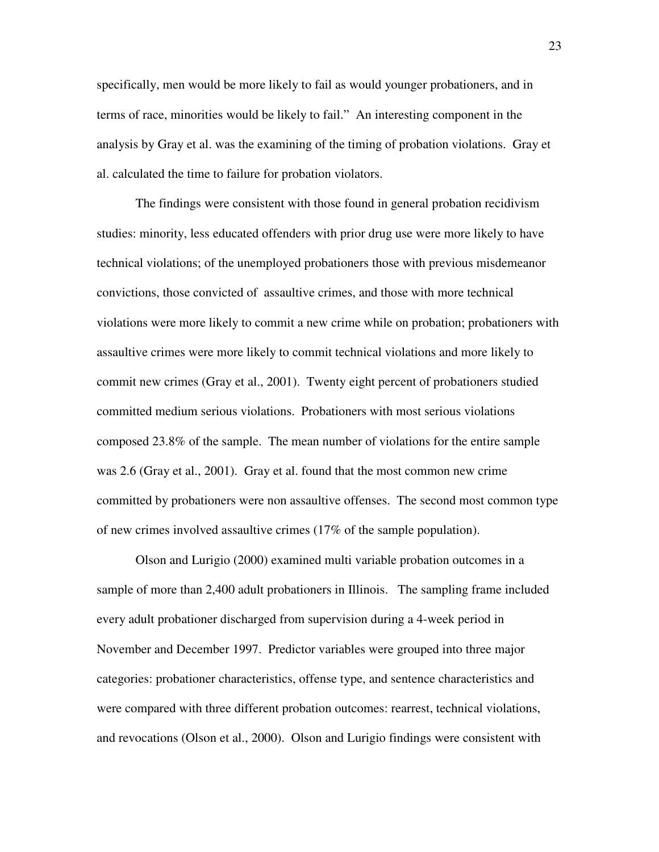specifically, men would be more likely to fail as would younger probationers, and in terms of race, minorities would be likely to fail." An interesting component in the analysis by Gray et al. was the examining of the timing of probation violations. Gray et al. calculated the time to failure for probation violators.

The findings were consistent with those found in general probation recidivism studies: minority, less educated offenders with prior drug use were more likely to have technical violations; of the unemployed probationers those with previous misdemeanor convictions, those convicted of assaultive crimes, and those with more technical violations were more likely to commit a new crime while on probation; probationers with assaultive crimes were more likely to commit technical violations and more likely to commit new crimes (Gray et al., 2001). Twenty eight percent of probationers studied committed medium serious violations. Probationers with most serious violations composed 23.8% of the sample. The mean number of violations for the entire sample was 2.6 (Gray et al., 2001). Gray et al. found that the most common new crime committed by probationers were non assaultive offenses. The second most common type of new crimes involved assaultive crimes (17% of the sample population).

 Olson and Lurigio (2000) examined multi variable probation outcomes in a sample of more than 2,400 adult probationers in Illinois. The sampling frame included every adult probationer discharged from supervision during a 4-week period in November and December 1997. Predictor variables were grouped into three major categories: probationer characteristics, offense type, and sentence characteristics and were compared with three different probation outcomes: rearrest, technical violations, and revocations (Olson et al., 2000). Olson and Lurigio findings were consistent with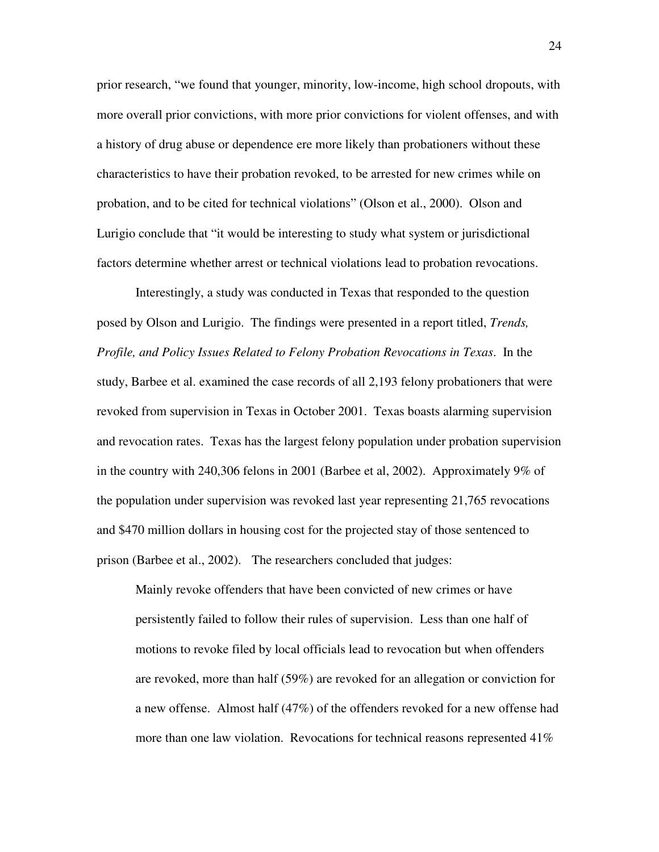prior research, "we found that younger, minority, low-income, high school dropouts, with more overall prior convictions, with more prior convictions for violent offenses, and with a history of drug abuse or dependence ere more likely than probationers without these characteristics to have their probation revoked, to be arrested for new crimes while on probation, and to be cited for technical violations" (Olson et al., 2000). Olson and Lurigio conclude that "it would be interesting to study what system or jurisdictional factors determine whether arrest or technical violations lead to probation revocations.

 Interestingly, a study was conducted in Texas that responded to the question posed by Olson and Lurigio. The findings were presented in a report titled, *Trends, Profile, and Policy Issues Related to Felony Probation Revocations in Texas*. In the study, Barbee et al. examined the case records of all 2,193 felony probationers that were revoked from supervision in Texas in October 2001. Texas boasts alarming supervision and revocation rates. Texas has the largest felony population under probation supervision in the country with 240,306 felons in 2001 (Barbee et al, 2002). Approximately 9% of the population under supervision was revoked last year representing 21,765 revocations and \$470 million dollars in housing cost for the projected stay of those sentenced to prison (Barbee et al., 2002). The researchers concluded that judges:

Mainly revoke offenders that have been convicted of new crimes or have persistently failed to follow their rules of supervision. Less than one half of motions to revoke filed by local officials lead to revocation but when offenders are revoked, more than half (59%) are revoked for an allegation or conviction for a new offense. Almost half (47%) of the offenders revoked for a new offense had more than one law violation. Revocations for technical reasons represented 41%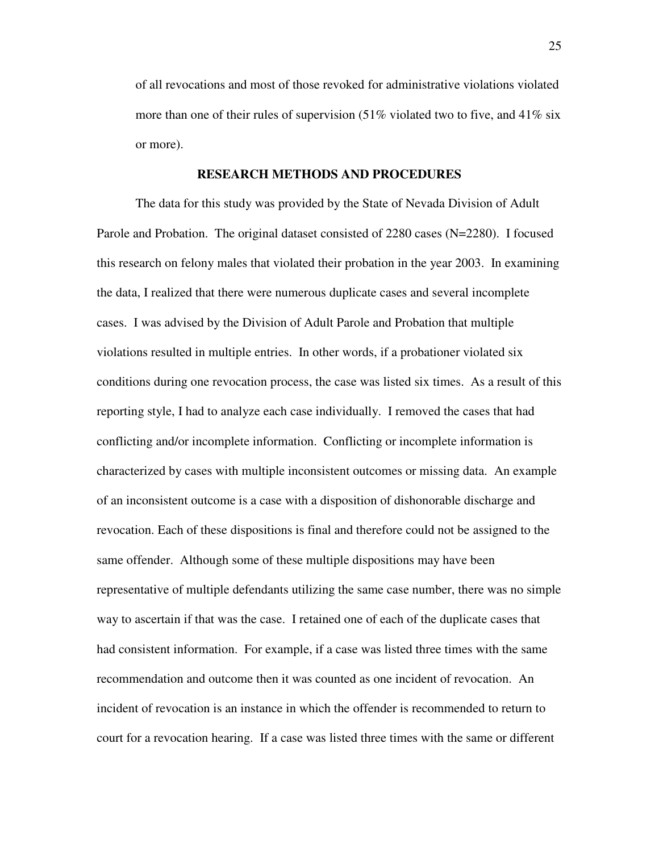of all revocations and most of those revoked for administrative violations violated more than one of their rules of supervision  $(51\%$  violated two to five, and  $41\%$  six or more).

#### **RESEARCH METHODS AND PROCEDURES**

 The data for this study was provided by the State of Nevada Division of Adult Parole and Probation. The original dataset consisted of 2280 cases (N=2280). I focused this research on felony males that violated their probation in the year 2003. In examining the data, I realized that there were numerous duplicate cases and several incomplete cases. I was advised by the Division of Adult Parole and Probation that multiple violations resulted in multiple entries. In other words, if a probationer violated six conditions during one revocation process, the case was listed six times. As a result of this reporting style, I had to analyze each case individually. I removed the cases that had conflicting and/or incomplete information. Conflicting or incomplete information is characterized by cases with multiple inconsistent outcomes or missing data. An example of an inconsistent outcome is a case with a disposition of dishonorable discharge and revocation. Each of these dispositions is final and therefore could not be assigned to the same offender. Although some of these multiple dispositions may have been representative of multiple defendants utilizing the same case number, there was no simple way to ascertain if that was the case. I retained one of each of the duplicate cases that had consistent information. For example, if a case was listed three times with the same recommendation and outcome then it was counted as one incident of revocation. An incident of revocation is an instance in which the offender is recommended to return to court for a revocation hearing. If a case was listed three times with the same or different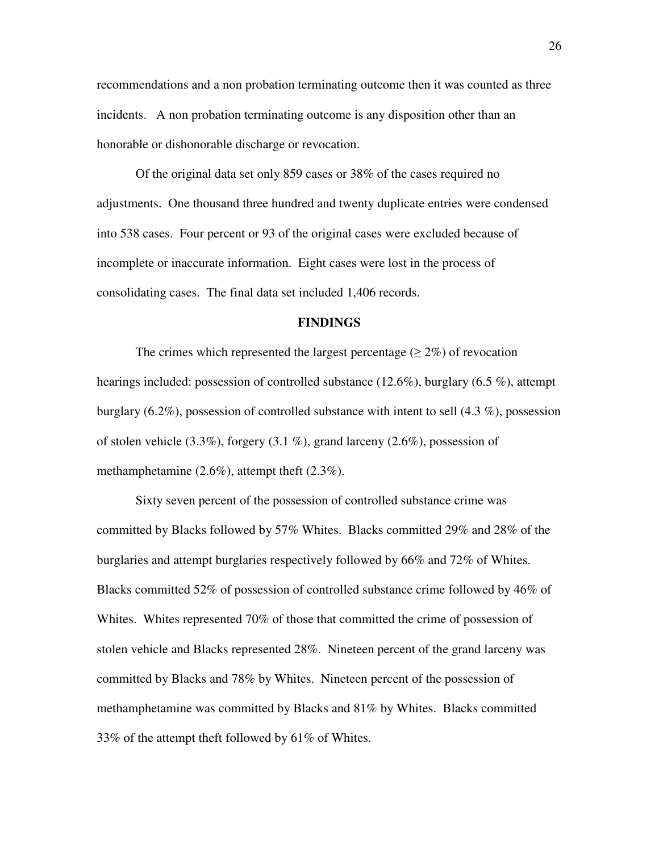recommendations and a non probation terminating outcome then it was counted as three incidents. A non probation terminating outcome is any disposition other than an honorable or dishonorable discharge or revocation.

 Of the original data set only 859 cases or 38% of the cases required no adjustments. One thousand three hundred and twenty duplicate entries were condensed into 538 cases. Four percent or 93 of the original cases were excluded because of incomplete or inaccurate information. Eight cases were lost in the process of consolidating cases. The final data set included 1,406 records.

#### **FINDINGS**

The crimes which represented the largest percentage ( $\geq 2\%$ ) of revocation hearings included: possession of controlled substance (12.6%), burglary (6.5 %), attempt burglary (6.2%), possession of controlled substance with intent to sell (4.3 %), possession of stolen vehicle  $(3.3\%)$ , forgery  $(3.1\%)$ , grand larceny  $(2.6\%)$ , possession of methamphetamine (2.6%), attempt theft (2.3%).

 Sixty seven percent of the possession of controlled substance crime was committed by Blacks followed by 57% Whites. Blacks committed 29% and 28% of the burglaries and attempt burglaries respectively followed by 66% and 72% of Whites. Blacks committed 52% of possession of controlled substance crime followed by 46% of Whites. Whites represented 70% of those that committed the crime of possession of stolen vehicle and Blacks represented 28%. Nineteen percent of the grand larceny was committed by Blacks and 78% by Whites. Nineteen percent of the possession of methamphetamine was committed by Blacks and 81% by Whites. Blacks committed 33% of the attempt theft followed by 61% of Whites.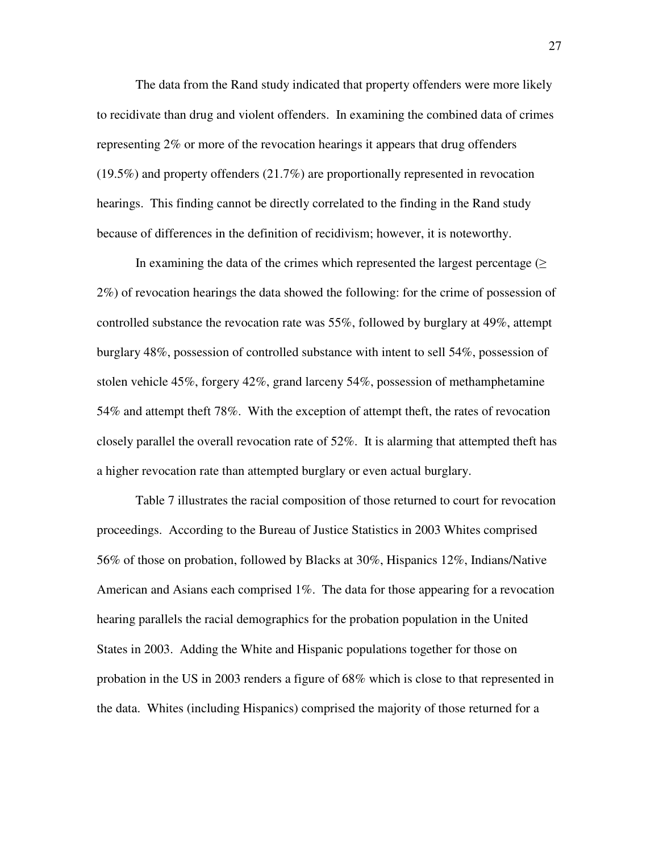The data from the Rand study indicated that property offenders were more likely to recidivate than drug and violent offenders. In examining the combined data of crimes representing 2% or more of the revocation hearings it appears that drug offenders (19.5%) and property offenders (21.7%) are proportionally represented in revocation hearings. This finding cannot be directly correlated to the finding in the Rand study because of differences in the definition of recidivism; however, it is noteworthy.

In examining the data of the crimes which represented the largest percentage  $(\geq$ 2%) of revocation hearings the data showed the following: for the crime of possession of controlled substance the revocation rate was 55%, followed by burglary at 49%, attempt burglary 48%, possession of controlled substance with intent to sell 54%, possession of stolen vehicle 45%, forgery 42%, grand larceny 54%, possession of methamphetamine 54% and attempt theft 78%. With the exception of attempt theft, the rates of revocation closely parallel the overall revocation rate of 52%. It is alarming that attempted theft has a higher revocation rate than attempted burglary or even actual burglary.

Table 7 illustrates the racial composition of those returned to court for revocation proceedings. According to the Bureau of Justice Statistics in 2003 Whites comprised 56% of those on probation, followed by Blacks at 30%, Hispanics 12%, Indians/Native American and Asians each comprised 1%. The data for those appearing for a revocation hearing parallels the racial demographics for the probation population in the United States in 2003. Adding the White and Hispanic populations together for those on probation in the US in 2003 renders a figure of 68% which is close to that represented in the data. Whites (including Hispanics) comprised the majority of those returned for a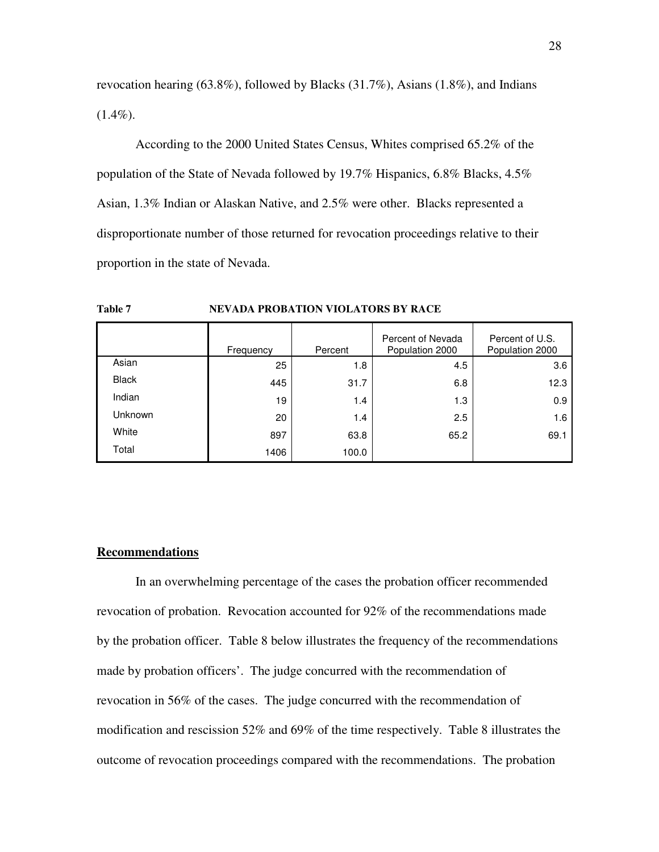revocation hearing (63.8%), followed by Blacks (31.7%), Asians (1.8%), and Indians  $(1.4\%).$ 

According to the 2000 United States Census, Whites comprised 65.2% of the population of the State of Nevada followed by 19.7% Hispanics, 6.8% Blacks, 4.5% Asian, 1.3% Indian or Alaskan Native, and 2.5% were other. Blacks represented a disproportionate number of those returned for revocation proceedings relative to their proportion in the state of Nevada.

**Table 7 NEVADA PROBATION VIOLATORS BY RACE** 

|              | Frequency | Percent | Percent of Nevada<br>Population 2000 | Percent of U.S.<br>Population 2000 |
|--------------|-----------|---------|--------------------------------------|------------------------------------|
| Asian        | 25        | 1.8     | 4.5                                  | 3.6                                |
| <b>Black</b> | 445       | 31.7    | 6.8                                  | 12.3                               |
| Indian       | 19        | 1.4     | 1.3                                  | 0.9                                |
| Unknown      | 20        | 1.4     | 2.5                                  | 1.6                                |
| White        | 897       | 63.8    | 65.2                                 | 69.1                               |
| Total        | 1406      | 100.0   |                                      |                                    |

#### **Recommendations**

 In an overwhelming percentage of the cases the probation officer recommended revocation of probation. Revocation accounted for 92% of the recommendations made by the probation officer. Table 8 below illustrates the frequency of the recommendations made by probation officers'. The judge concurred with the recommendation of revocation in 56% of the cases. The judge concurred with the recommendation of modification and rescission 52% and 69% of the time respectively. Table 8 illustrates the outcome of revocation proceedings compared with the recommendations. The probation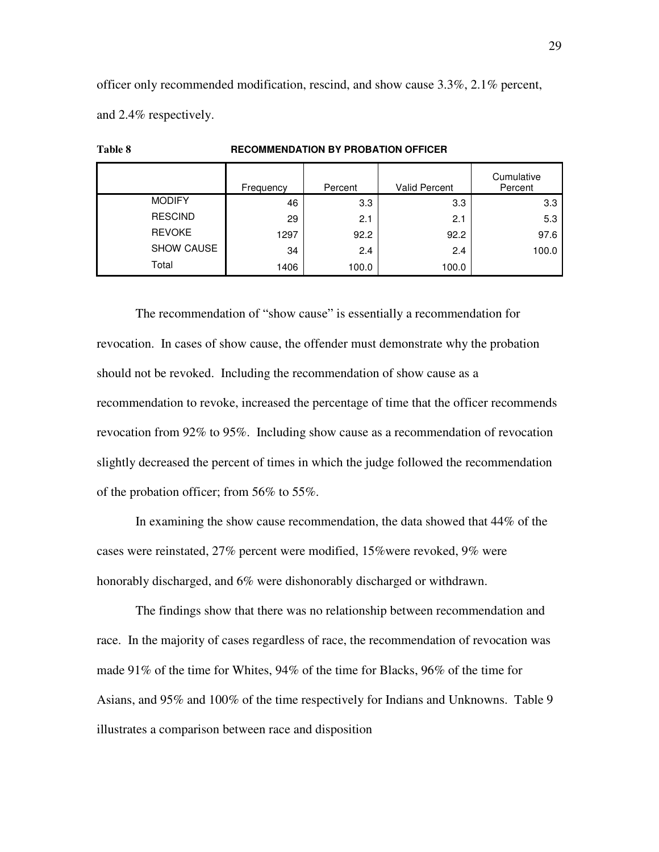officer only recommended modification, rescind, and show cause 3.3%, 2.1% percent, and 2.4% respectively.

**Table 8 RECOMMENDATION BY PROBATION OFFICER**

|                | Frequency | Percent | <b>Valid Percent</b> | Cumulative<br>Percent |
|----------------|-----------|---------|----------------------|-----------------------|
| <b>MODIFY</b>  | 46        | 3.3     | 3.3                  | 3.3                   |
| <b>RESCIND</b> | 29        | 2.1     | 2.1                  | 5.3                   |
| <b>REVOKE</b>  | 1297      | 92.2    | 92.2                 | 97.6                  |
| SHOW CAUSE     | 34        | 2.4     | 2.4                  | 100.0                 |
| Total          | 1406      | 100.0   | 100.0                |                       |

# The recommendation of "show cause" is essentially a recommendation for revocation. In cases of show cause, the offender must demonstrate why the probation should not be revoked. Including the recommendation of show cause as a recommendation to revoke, increased the percentage of time that the officer recommends revocation from 92% to 95%. Including show cause as a recommendation of revocation slightly decreased the percent of times in which the judge followed the recommendation of the probation officer; from 56% to 55%.

In examining the show cause recommendation, the data showed that 44% of the cases were reinstated, 27% percent were modified, 15%were revoked, 9% were honorably discharged, and 6% were dishonorably discharged or withdrawn.

The findings show that there was no relationship between recommendation and race. In the majority of cases regardless of race, the recommendation of revocation was made 91% of the time for Whites, 94% of the time for Blacks, 96% of the time for Asians, and 95% and 100% of the time respectively for Indians and Unknowns. Table 9 illustrates a comparison between race and disposition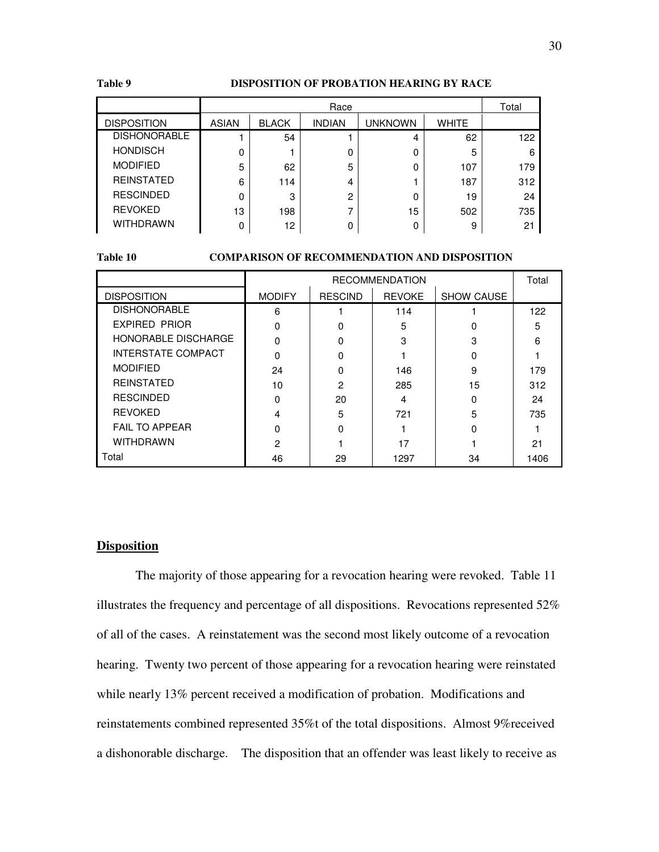#### **Table 9 DISPOSITION OF PROBATION HEARING BY RACE**

|                     | Race  |              |               |         | Total |     |
|---------------------|-------|--------------|---------------|---------|-------|-----|
| <b>DISPOSITION</b>  | ASIAN | <b>BLACK</b> | <b>INDIAN</b> | unknown | WHITE |     |
| <b>DISHONORABLE</b> |       | 54           |               | 4       | 62    | 122 |
| <b>HONDISCH</b>     | 0     |              | 0             | 0       | 5     | 6   |
| <b>MODIFIED</b>     | 5     | 62           | 5             | 0       | 107   | 179 |
| <b>REINSTATED</b>   | 6     | 114          | 4             |         | 187   | 312 |
| <b>RESCINDED</b>    | 0     | 3            | $\mathcal{P}$ | 0       | 19    | 24  |
| <b>REVOKED</b>      | 13    | 198          |               | 15      | 502   | 735 |
| <b>WITHDRAWN</b>    | 0     | 12           | 0             | 0       | 9     | 21  |

#### **Table 10 COMPARISON OF RECOMMENDATION AND DISPOSITION**

|                       | <b>RECOMMENDATION</b> |                |               |                   | Total |
|-----------------------|-----------------------|----------------|---------------|-------------------|-------|
| <b>DISPOSITION</b>    | <b>MODIFY</b>         | <b>RESCIND</b> | <b>REVOKE</b> | <b>SHOW CAUSE</b> |       |
| <b>DISHONORABLE</b>   | 6                     |                | 114           |                   | 122   |
| <b>EXPIRED PRIOR</b>  | O                     |                | 5             |                   | 5     |
| HONORABLE DISCHARGE   | $\Omega$              |                | 3             | з                 | 6     |
| INTERSTATE COMPACT    | n                     | O              |               |                   |       |
| <b>MODIFIED</b>       | 24                    |                | 146           | 9                 | 179   |
| <b>REINSTATED</b>     | 10                    | 2              | 285           | 15                | 312   |
| <b>RESCINDED</b>      | O                     | 20             | 4             |                   | 24    |
| <b>REVOKED</b>        | 4                     | 5              | 721           | 5                 | 735   |
| <b>FAIL TO APPEAR</b> | O                     | ŋ              |               |                   |       |
| <b>WITHDRAWN</b>      | 2                     |                | 17            |                   | 21    |
| Total                 | 46                    | 29             | 1297          | 34                | 1406  |

#### **Disposition**

The majority of those appearing for a revocation hearing were revoked. Table 11 illustrates the frequency and percentage of all dispositions. Revocations represented 52% of all of the cases. A reinstatement was the second most likely outcome of a revocation hearing. Twenty two percent of those appearing for a revocation hearing were reinstated while nearly 13% percent received a modification of probation. Modifications and reinstatements combined represented 35%t of the total dispositions. Almost 9%received a dishonorable discharge. The disposition that an offender was least likely to receive as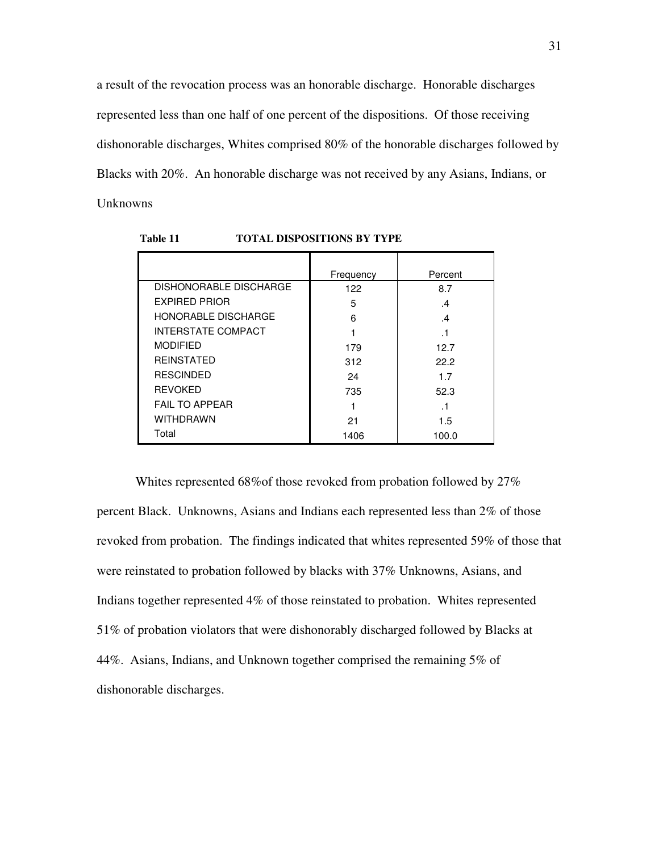a result of the revocation process was an honorable discharge. Honorable discharges represented less than one half of one percent of the dispositions. Of those receiving dishonorable discharges, Whites comprised 80% of the honorable discharges followed by Blacks with 20%. An honorable discharge was not received by any Asians, Indians, or Unknowns

|                               | Frequency | Percent |
|-------------------------------|-----------|---------|
| <b>DISHONORABLE DISCHARGE</b> | 122       | 8.7     |
| <b>EXPIRED PRIOR</b>          | 5         | .4      |
| <b>HONORABLE DISCHARGE</b>    | 6         | .4      |
| <b>INTERSTATE COMPACT</b>     |           |         |
| <b>MODIFIED</b>               | 179       | 12.7    |
| <b>REINSTATED</b>             | 312       | 22.2    |
| <b>RESCINDED</b>              | 24        | 1.7     |
| <b>REVOKED</b>                | 735       | 52.3    |
| <b>FAIL TO APPEAR</b>         |           |         |
| <b>WITHDRAWN</b>              | 21        | 1.5     |
| Total                         | 1406      | 100.0   |

 **Table 11 TOTAL DISPOSITIONS BY TYPE** 

Whites represented 68%of those revoked from probation followed by 27% percent Black. Unknowns, Asians and Indians each represented less than 2% of those revoked from probation. The findings indicated that whites represented 59% of those that were reinstated to probation followed by blacks with 37% Unknowns, Asians, and Indians together represented 4% of those reinstated to probation. Whites represented 51% of probation violators that were dishonorably discharged followed by Blacks at 44%. Asians, Indians, and Unknown together comprised the remaining 5% of dishonorable discharges.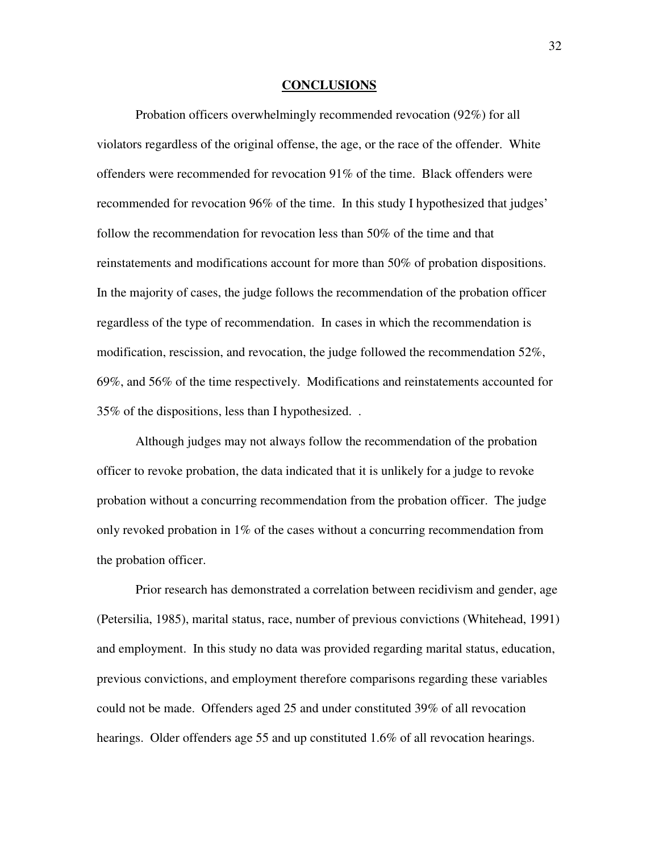#### **CONCLUSIONS**

Probation officers overwhelmingly recommended revocation (92%) for all violators regardless of the original offense, the age, or the race of the offender. White offenders were recommended for revocation 91% of the time. Black offenders were recommended for revocation 96% of the time. In this study I hypothesized that judges' follow the recommendation for revocation less than 50% of the time and that reinstatements and modifications account for more than 50% of probation dispositions. In the majority of cases, the judge follows the recommendation of the probation officer regardless of the type of recommendation. In cases in which the recommendation is modification, rescission, and revocation, the judge followed the recommendation 52%, 69%, and 56% of the time respectively. Modifications and reinstatements accounted for 35% of the dispositions, less than I hypothesized. .

Although judges may not always follow the recommendation of the probation officer to revoke probation, the data indicated that it is unlikely for a judge to revoke probation without a concurring recommendation from the probation officer. The judge only revoked probation in  $1\%$  of the cases without a concurring recommendation from the probation officer.

Prior research has demonstrated a correlation between recidivism and gender, age (Petersilia, 1985), marital status, race, number of previous convictions (Whitehead, 1991) and employment. In this study no data was provided regarding marital status, education, previous convictions, and employment therefore comparisons regarding these variables could not be made. Offenders aged 25 and under constituted 39% of all revocation hearings. Older offenders age 55 and up constituted 1.6% of all revocation hearings.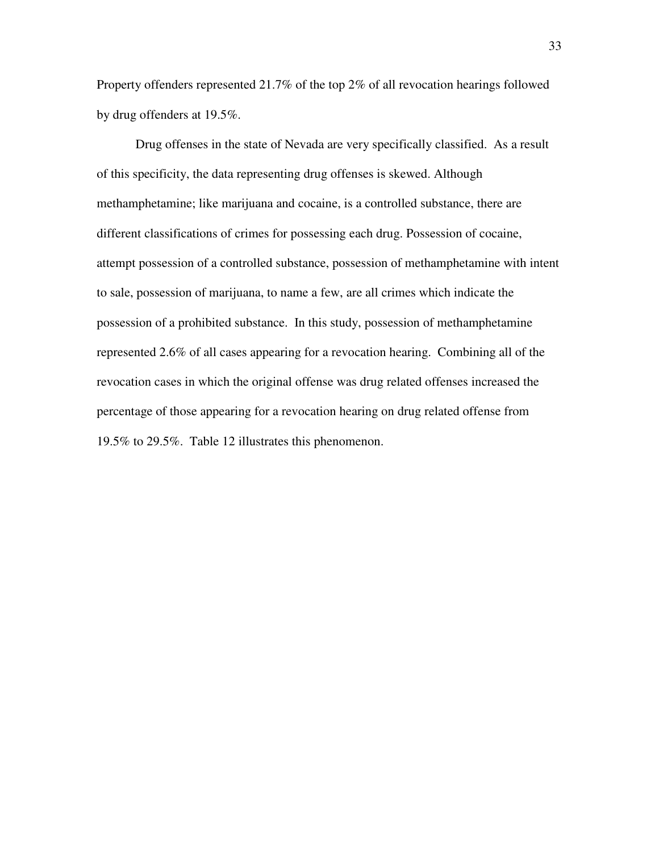Property offenders represented 21.7% of the top 2% of all revocation hearings followed by drug offenders at 19.5%.

Drug offenses in the state of Nevada are very specifically classified. As a result of this specificity, the data representing drug offenses is skewed. Although methamphetamine; like marijuana and cocaine, is a controlled substance, there are different classifications of crimes for possessing each drug. Possession of cocaine, attempt possession of a controlled substance, possession of methamphetamine with intent to sale, possession of marijuana, to name a few, are all crimes which indicate the possession of a prohibited substance. In this study, possession of methamphetamine represented 2.6% of all cases appearing for a revocation hearing. Combining all of the revocation cases in which the original offense was drug related offenses increased the percentage of those appearing for a revocation hearing on drug related offense from 19.5% to 29.5%. Table 12 illustrates this phenomenon.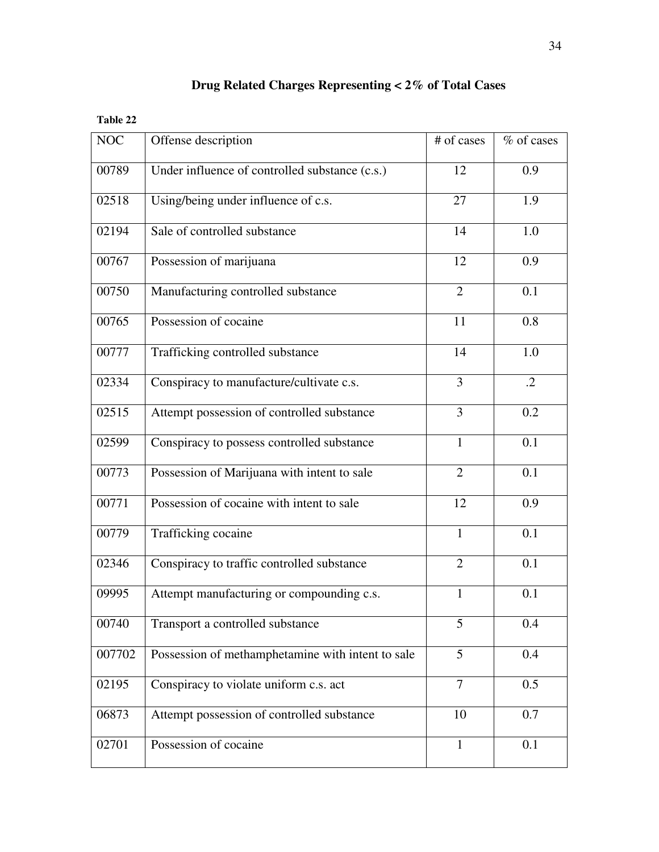|  |  | Drug Related Charges Representing $<$ 2% of Total Cases |  |  |  |
|--|--|---------------------------------------------------------|--|--|--|
|--|--|---------------------------------------------------------|--|--|--|

**Table 22** 

| <b>NOC</b> | Offense description                               | # of cases     | % of cases |
|------------|---------------------------------------------------|----------------|------------|
| 00789      | Under influence of controlled substance (c.s.)    | 12             | 0.9        |
| 02518      | Using/being under influence of c.s.               | 27             | 1.9        |
| 02194      | Sale of controlled substance                      | 14             | 1.0        |
| 00767      | Possession of marijuana                           | 12             | 0.9        |
| 00750      | Manufacturing controlled substance                | $\overline{2}$ | 0.1        |
| 00765      | Possession of cocaine                             | 11             | 0.8        |
| 00777      | Trafficking controlled substance                  | 14             | 1.0        |
| 02334      | Conspiracy to manufacture/cultivate c.s.          | 3              | $\cdot$ .2 |
| 02515      | Attempt possession of controlled substance        | 3              | 0.2        |
| 02599      | Conspiracy to possess controlled substance        | $\mathbf{1}$   | 0.1        |
| 00773      | Possession of Marijuana with intent to sale       | $\overline{2}$ | 0.1        |
| 00771      | Possession of cocaine with intent to sale         | 12             | 0.9        |
| 00779      | Trafficking cocaine                               | $\mathbf{1}$   | 0.1        |
| 02346      | Conspiracy to traffic controlled substance        | $\overline{2}$ | 0.1        |
| 09995      | Attempt manufacturing or compounding c.s.         | $\mathbf{1}$   | 0.1        |
| 00740      | Transport a controlled substance                  | 5              | 0.4        |
| 007702     | Possession of methamphetamine with intent to sale | 5              | 0.4        |
| 02195      | Conspiracy to violate uniform c.s. act            | $\overline{7}$ | 0.5        |
| 06873      | Attempt possession of controlled substance        | 10             | 0.7        |
| 02701      | Possession of cocaine                             | $\mathbf{1}$   | 0.1        |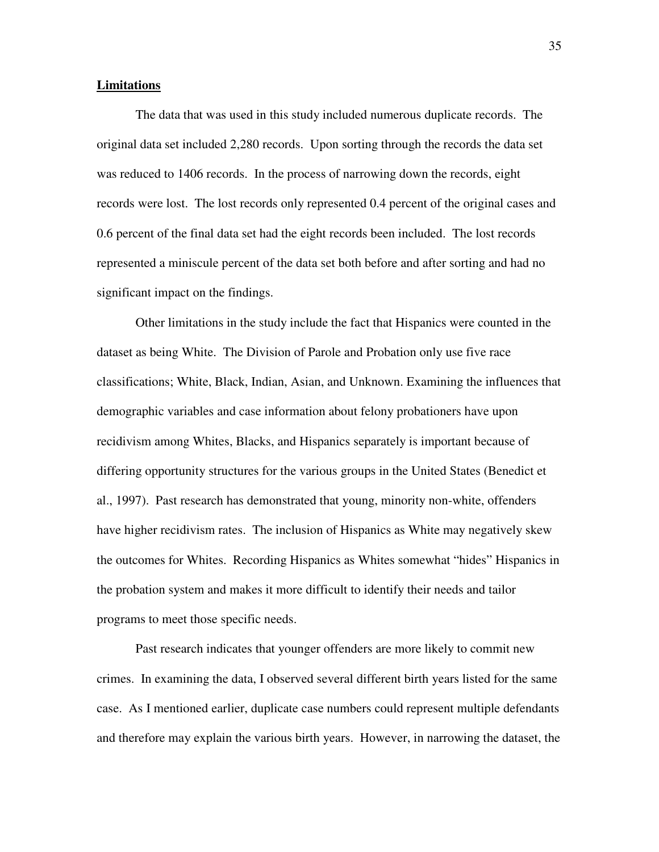#### **Limitations**

The data that was used in this study included numerous duplicate records. The original data set included 2,280 records. Upon sorting through the records the data set was reduced to 1406 records. In the process of narrowing down the records, eight records were lost. The lost records only represented 0.4 percent of the original cases and 0.6 percent of the final data set had the eight records been included. The lost records represented a miniscule percent of the data set both before and after sorting and had no significant impact on the findings.

Other limitations in the study include the fact that Hispanics were counted in the dataset as being White. The Division of Parole and Probation only use five race classifications; White, Black, Indian, Asian, and Unknown. Examining the influences that demographic variables and case information about felony probationers have upon recidivism among Whites, Blacks, and Hispanics separately is important because of differing opportunity structures for the various groups in the United States (Benedict et al., 1997). Past research has demonstrated that young, minority non-white, offenders have higher recidivism rates. The inclusion of Hispanics as White may negatively skew the outcomes for Whites. Recording Hispanics as Whites somewhat "hides" Hispanics in the probation system and makes it more difficult to identify their needs and tailor programs to meet those specific needs.

Past research indicates that younger offenders are more likely to commit new crimes. In examining the data, I observed several different birth years listed for the same case. As I mentioned earlier, duplicate case numbers could represent multiple defendants and therefore may explain the various birth years. However, in narrowing the dataset, the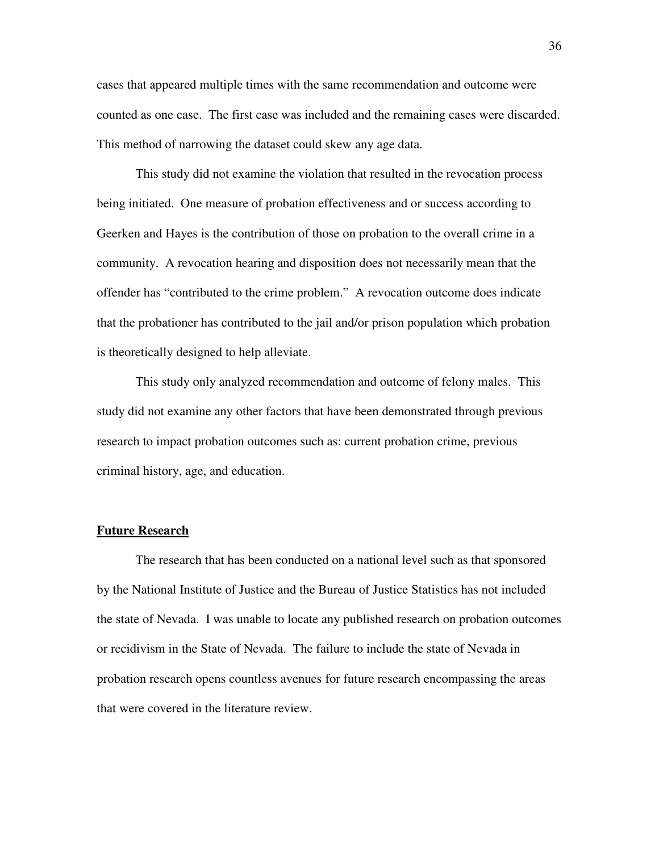cases that appeared multiple times with the same recommendation and outcome were counted as one case. The first case was included and the remaining cases were discarded. This method of narrowing the dataset could skew any age data.

This study did not examine the violation that resulted in the revocation process being initiated. One measure of probation effectiveness and or success according to Geerken and Hayes is the contribution of those on probation to the overall crime in a community. A revocation hearing and disposition does not necessarily mean that the offender has "contributed to the crime problem." A revocation outcome does indicate that the probationer has contributed to the jail and/or prison population which probation is theoretically designed to help alleviate.

This study only analyzed recommendation and outcome of felony males. This study did not examine any other factors that have been demonstrated through previous research to impact probation outcomes such as: current probation crime, previous criminal history, age, and education.

#### **Future Research**

The research that has been conducted on a national level such as that sponsored by the National Institute of Justice and the Bureau of Justice Statistics has not included the state of Nevada. I was unable to locate any published research on probation outcomes or recidivism in the State of Nevada. The failure to include the state of Nevada in probation research opens countless avenues for future research encompassing the areas that were covered in the literature review.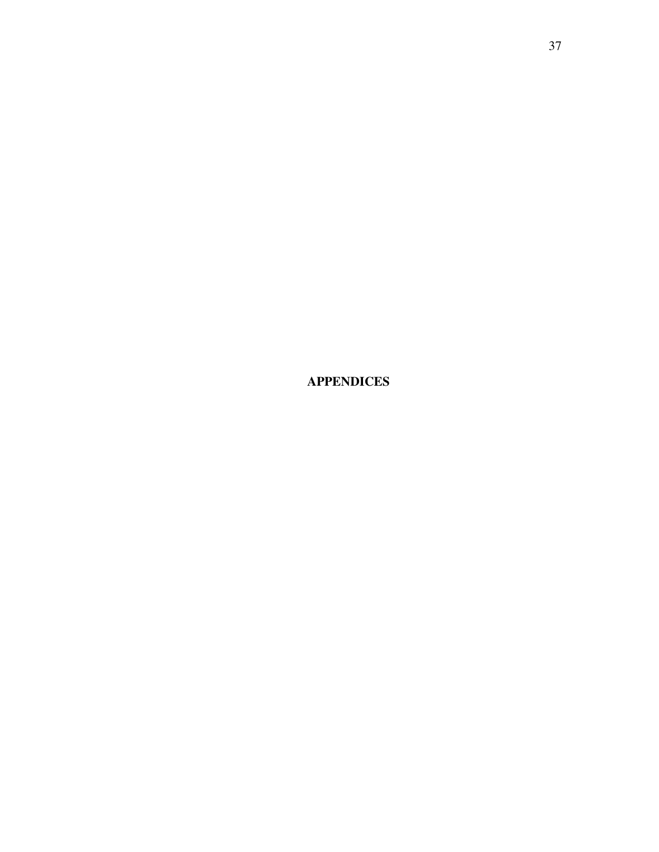**APPENDICES**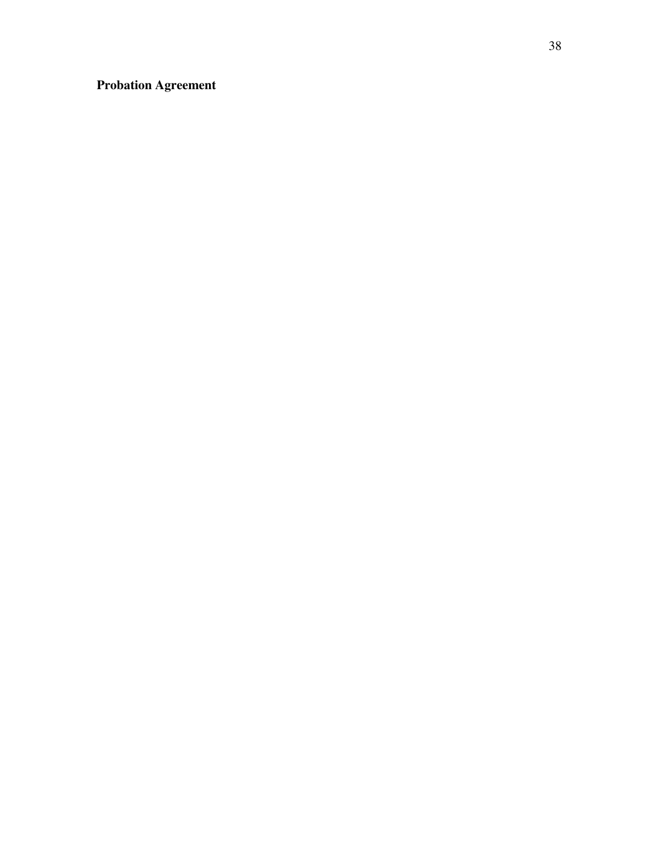**Probation Agreement**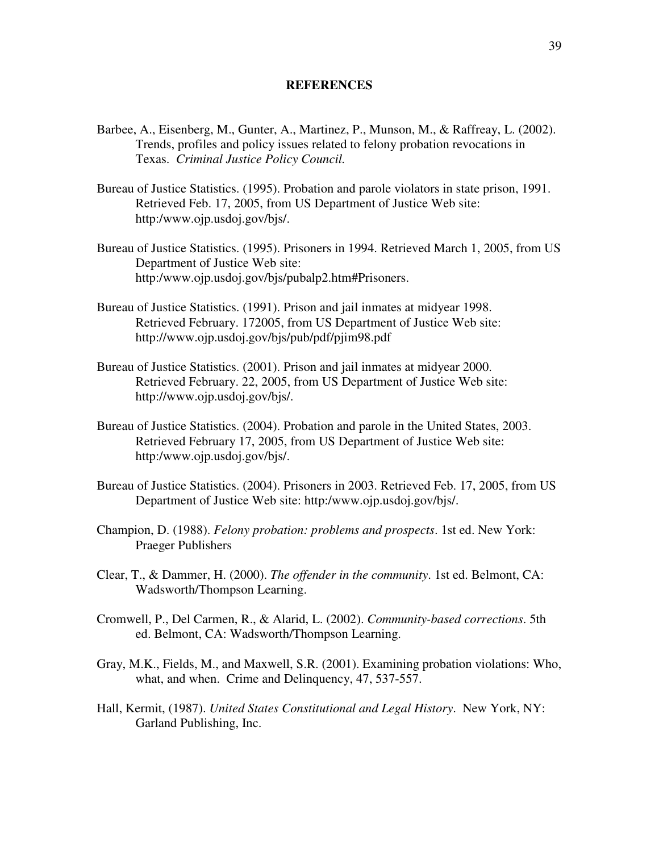#### **REFERENCES**

- Barbee, A., Eisenberg, M., Gunter, A., Martinez, P., Munson, M., & Raffreay, L. (2002). Trends, profiles and policy issues related to felony probation revocations in Texas. *Criminal Justice Policy Council.*
- Bureau of Justice Statistics. (1995). Probation and parole violators in state prison, 1991. Retrieved Feb. 17, 2005, from US Department of Justice Web site: http:/www.ojp.usdoj.gov/bjs/.
- Bureau of Justice Statistics. (1995). Prisoners in 1994. Retrieved March 1, 2005, from US Department of Justice Web site: http:/www.ojp.usdoj.gov/bjs/pubalp2.htm#Prisoners.
- Bureau of Justice Statistics. (1991). Prison and jail inmates at midyear 1998. Retrieved February. 172005, from US Department of Justice Web site: http://www.ojp.usdoj.gov/bjs/pub/pdf/pjim98.pdf
- Bureau of Justice Statistics. (2001). Prison and jail inmates at midyear 2000. Retrieved February. 22, 2005, from US Department of Justice Web site: http://www.ojp.usdoj.gov/bjs/.
- Bureau of Justice Statistics. (2004). Probation and parole in the United States, 2003. Retrieved February 17, 2005, from US Department of Justice Web site: http:/www.ojp.usdoj.gov/bjs/.
- Bureau of Justice Statistics. (2004). Prisoners in 2003. Retrieved Feb. 17, 2005, from US Department of Justice Web site: http:/www.ojp.usdoj.gov/bjs/.
- Champion, D. (1988). *Felony probation: problems and prospects*. 1st ed. New York: Praeger Publishers
- Clear, T., & Dammer, H. (2000). *The offender in the community*. 1st ed. Belmont, CA: Wadsworth/Thompson Learning.
- Cromwell, P., Del Carmen, R., & Alarid, L. (2002). *Community-based corrections*. 5th ed. Belmont, CA: Wadsworth/Thompson Learning.
- Gray, M.K., Fields, M., and Maxwell, S.R. (2001). Examining probation violations: Who, what, and when. Crime and Delinquency, 47, 537-557.
- Hall, Kermit, (1987). *United States Constitutional and Legal History*. New York, NY: Garland Publishing, Inc.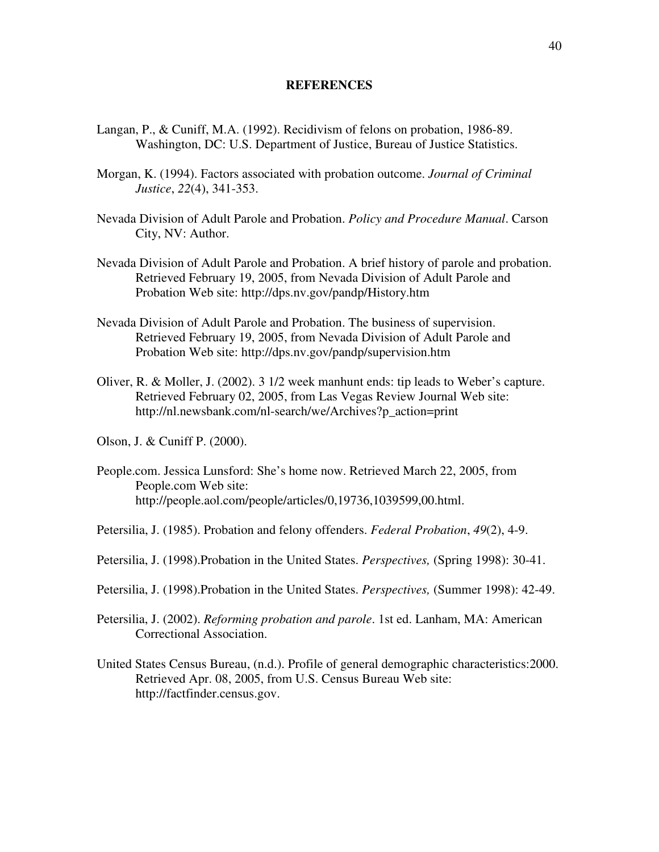#### **REFERENCES**

- Langan, P., & Cuniff, M.A. (1992). Recidivism of felons on probation, 1986-89. Washington, DC: U.S. Department of Justice, Bureau of Justice Statistics.
- Morgan, K. (1994). Factors associated with probation outcome. *Journal of Criminal Justice*, *22*(4), 341-353.
- Nevada Division of Adult Parole and Probation. *Policy and Procedure Manual*. Carson City, NV: Author.
- Nevada Division of Adult Parole and Probation. A brief history of parole and probation. Retrieved February 19, 2005, from Nevada Division of Adult Parole and Probation Web site: http://dps.nv.gov/pandp/History.htm
- Nevada Division of Adult Parole and Probation. The business of supervision. Retrieved February 19, 2005, from Nevada Division of Adult Parole and Probation Web site: http://dps.nv.gov/pandp/supervision.htm
- Oliver, R. & Moller, J. (2002). 3 1/2 week manhunt ends: tip leads to Weber's capture. Retrieved February 02, 2005, from Las Vegas Review Journal Web site: http://nl.newsbank.com/nl-search/we/Archives?p\_action=print
- Olson, J. & Cuniff P. (2000).
- People.com. Jessica Lunsford: She's home now. Retrieved March 22, 2005, from People.com Web site: http://people.aol.com/people/articles/0,19736,1039599,00.html.
- Petersilia, J. (1985). Probation and felony offenders. *Federal Probation*, *49*(2), 4-9.
- Petersilia, J. (1998).Probation in the United States. *Perspectives,* (Spring 1998): 30-41.
- Petersilia, J. (1998).Probation in the United States. *Perspectives,* (Summer 1998): 42-49.
- Petersilia, J. (2002). *Reforming probation and parole*. 1st ed. Lanham, MA: American Correctional Association.
- United States Census Bureau, (n.d.). Profile of general demographic characteristics:2000. Retrieved Apr. 08, 2005, from U.S. Census Bureau Web site: http://factfinder.census.gov.